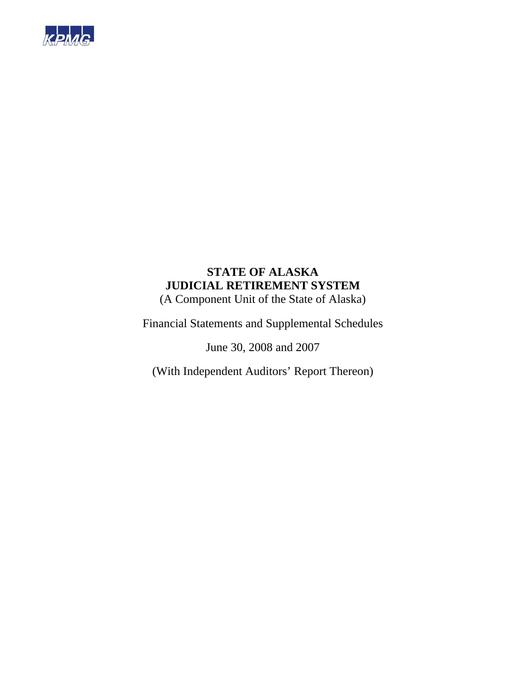

(A Component Unit of the State of Alaska)

Financial Statements and Supplemental Schedules

June 30, 2008 and 2007

(With Independent Auditors' Report Thereon)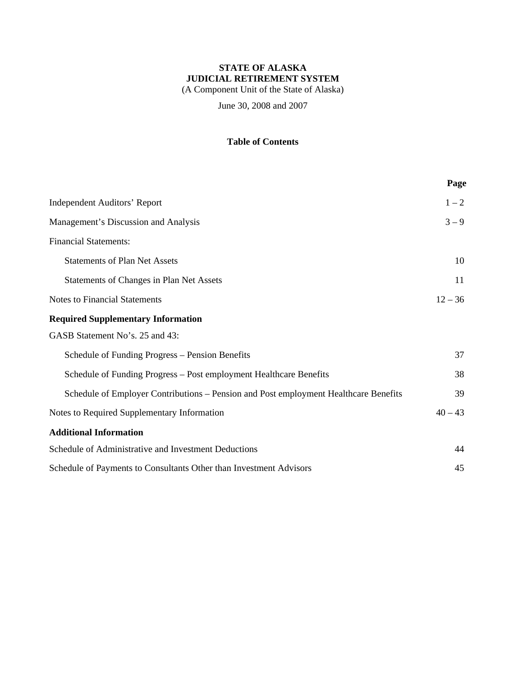(A Component Unit of the State of Alaska)

June 30, 2008 and 2007

### **Table of Contents**

|                                                                                      | Page      |
|--------------------------------------------------------------------------------------|-----------|
| <b>Independent Auditors' Report</b>                                                  | $1 - 2$   |
| Management's Discussion and Analysis                                                 | $3 - 9$   |
| <b>Financial Statements:</b>                                                         |           |
| <b>Statements of Plan Net Assets</b>                                                 | 10        |
| Statements of Changes in Plan Net Assets                                             | 11        |
| <b>Notes to Financial Statements</b>                                                 | $12 - 36$ |
| <b>Required Supplementary Information</b>                                            |           |
| GASB Statement No's. 25 and 43:                                                      |           |
| Schedule of Funding Progress – Pension Benefits                                      | 37        |
| Schedule of Funding Progress - Post employment Healthcare Benefits                   | 38        |
| Schedule of Employer Contributions – Pension and Post employment Healthcare Benefits | 39        |
| Notes to Required Supplementary Information                                          | $40 - 43$ |
| <b>Additional Information</b>                                                        |           |
| Schedule of Administrative and Investment Deductions                                 | 44        |
| Schedule of Payments to Consultants Other than Investment Advisors                   | 45        |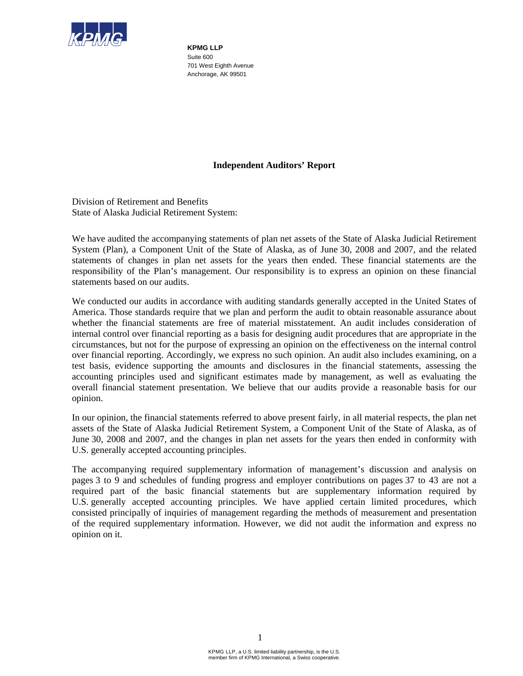

**KPMG LLP**  Suite 600 701 West Eighth Avenue Anchorage, AK 99501

### **Independent Auditors' Report**

Division of Retirement and Benefits State of Alaska Judicial Retirement System:

We have audited the accompanying statements of plan net assets of the State of Alaska Judicial Retirement System (Plan), a Component Unit of the State of Alaska, as of June 30, 2008 and 2007, and the related statements of changes in plan net assets for the years then ended. These financial statements are the responsibility of the Plan's management. Our responsibility is to express an opinion on these financial statements based on our audits.

We conducted our audits in accordance with auditing standards generally accepted in the United States of America. Those standards require that we plan and perform the audit to obtain reasonable assurance about whether the financial statements are free of material misstatement. An audit includes consideration of internal control over financial reporting as a basis for designing audit procedures that are appropriate in the circumstances, but not for the purpose of expressing an opinion on the effectiveness on the internal control over financial reporting. Accordingly, we express no such opinion. An audit also includes examining, on a test basis, evidence supporting the amounts and disclosures in the financial statements, assessing the accounting principles used and significant estimates made by management, as well as evaluating the overall financial statement presentation. We believe that our audits provide a reasonable basis for our opinion.

In our opinion, the financial statements referred to above present fairly, in all material respects, the plan net assets of the State of Alaska Judicial Retirement System, a Component Unit of the State of Alaska, as of June 30, 2008 and 2007, and the changes in plan net assets for the years then ended in conformity with U.S. generally accepted accounting principles.

The accompanying required supplementary information of management's discussion and analysis on pages 3 to 9 and schedules of funding progress and employer contributions on pages 37 to 43 are not a required part of the basic financial statements but are supplementary information required by U.S. generally accepted accounting principles. We have applied certain limited procedures, which consisted principally of inquiries of management regarding the methods of measurement and presentation of the required supplementary information. However, we did not audit the information and express no opinion on it.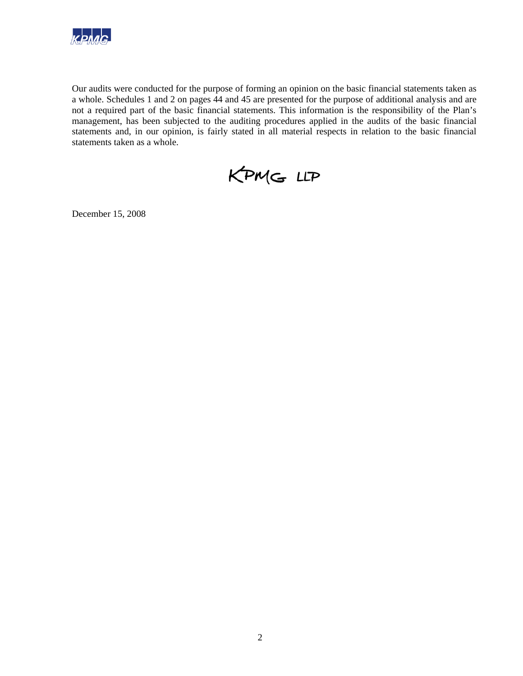

Our audits were conducted for the purpose of forming an opinion on the basic financial statements taken as a whole. Schedules 1 and 2 on pages 44 and 45 are presented for the purpose of additional analysis and are not a required part of the basic financial statements. This information is the responsibility of the Plan's management, has been subjected to the auditing procedures applied in the audits of the basic financial statements and, in our opinion, is fairly stated in all material respects in relation to the basic financial statements taken as a whole.

KPMG LLP

December 15, 2008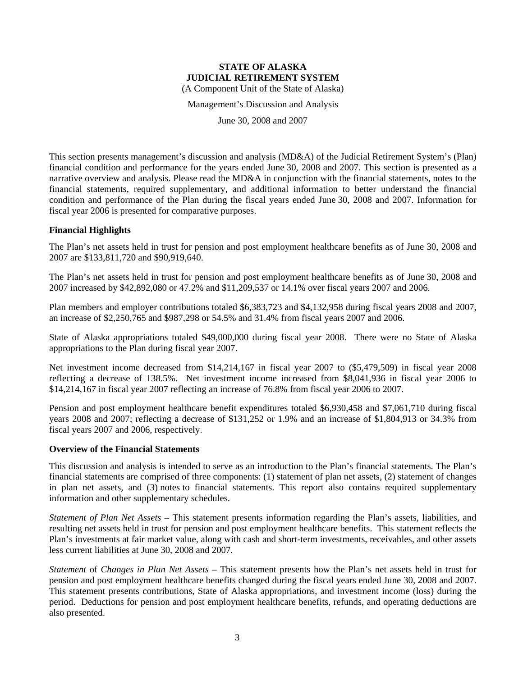Management's Discussion and Analysis

June 30, 2008 and 2007

This section presents management's discussion and analysis (MD&A) of the Judicial Retirement System's (Plan) financial condition and performance for the years ended June 30, 2008 and 2007. This section is presented as a narrative overview and analysis. Please read the MD&A in conjunction with the financial statements, notes to the financial statements, required supplementary, and additional information to better understand the financial condition and performance of the Plan during the fiscal years ended June 30, 2008 and 2007. Information for fiscal year 2006 is presented for comparative purposes.

### **Financial Highlights**

The Plan's net assets held in trust for pension and post employment healthcare benefits as of June 30, 2008 and 2007 are \$133,811,720 and \$90,919,640.

The Plan's net assets held in trust for pension and post employment healthcare benefits as of June 30, 2008 and 2007 increased by \$42,892,080 or 47.2% and \$11,209,537 or 14.1% over fiscal years 2007 and 2006.

Plan members and employer contributions totaled \$6,383,723 and \$4,132,958 during fiscal years 2008 and 2007, an increase of \$2,250,765 and \$987,298 or 54.5% and 31.4% from fiscal years 2007 and 2006.

State of Alaska appropriations totaled \$49,000,000 during fiscal year 2008. There were no State of Alaska appropriations to the Plan during fiscal year 2007.

Net investment income decreased from \$14,214,167 in fiscal year 2007 to (\$5,479,509) in fiscal year 2008 reflecting a decrease of 138.5%. Net investment income increased from \$8,041,936 in fiscal year 2006 to \$14,214,167 in fiscal year 2007 reflecting an increase of 76.8% from fiscal year 2006 to 2007.

Pension and post employment healthcare benefit expenditures totaled \$6,930,458 and \$7,061,710 during fiscal years 2008 and 2007; reflecting a decrease of \$131,252 or 1.9% and an increase of \$1,804,913 or 34.3% from fiscal years 2007 and 2006, respectively.

### **Overview of the Financial Statements**

This discussion and analysis is intended to serve as an introduction to the Plan's financial statements. The Plan's financial statements are comprised of three components: (1) statement of plan net assets, (2) statement of changes in plan net assets, and (3) notes to financial statements. This report also contains required supplementary information and other supplementary schedules.

*Statement of Plan Net Assets* – This statement presents information regarding the Plan's assets, liabilities, and resulting net assets held in trust for pension and post employment healthcare benefits. This statement reflects the Plan's investments at fair market value, along with cash and short-term investments, receivables, and other assets less current liabilities at June 30, 2008 and 2007.

*Statement* of *Changes in Plan Net Assets* – This statement presents how the Plan's net assets held in trust for pension and post employment healthcare benefits changed during the fiscal years ended June 30, 2008 and 2007. This statement presents contributions, State of Alaska appropriations, and investment income (loss) during the period. Deductions for pension and post employment healthcare benefits, refunds, and operating deductions are also presented.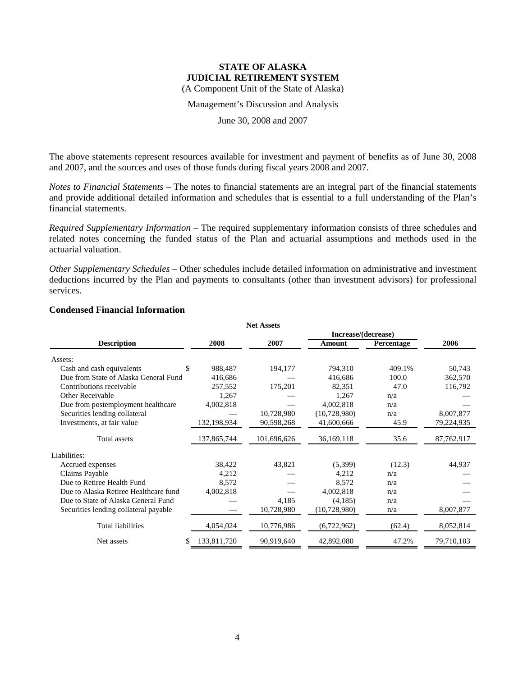Management's Discussion and Analysis

June 30, 2008 and 2007

The above statements represent resources available for investment and payment of benefits as of June 30, 2008 and 2007, and the sources and uses of those funds during fiscal years 2008 and 2007.

*Notes to Financial Statements* – The notes to financial statements are an integral part of the financial statements and provide additional detailed information and schedules that is essential to a full understanding of the Plan's financial statements.

*Required Supplementary Information* – The required supplementary information consists of three schedules and related notes concerning the funded status of the Plan and actuarial assumptions and methods used in the actuarial valuation.

*Other Supplementary Schedules* – Other schedules include detailed information on administrative and investment deductions incurred by the Plan and payments to consultants (other than investment advisors) for professional services.

|                                       |                  | <b>Net Assets</b> |                     |            |            |
|---------------------------------------|------------------|-------------------|---------------------|------------|------------|
|                                       |                  |                   | Increase/(decrease) |            |            |
| <b>Description</b>                    | 2008             | 2007              | Amount              | Percentage | 2006       |
| Assets:                               |                  |                   |                     |            |            |
| Cash and cash equivalents             | \$<br>988,487    | 194,177           | 794,310             | 409.1%     | 50,743     |
| Due from State of Alaska General Fund | 416,686          |                   | 416,686             | 100.0      | 362,570    |
| Contributions receivable              | 257,552          | 175,201           | 82,351              | 47.0       | 116,792    |
| Other Receivable                      | 1,267            |                   | 1,267               | n/a        |            |
| Due from postemployment healthcare    | 4,002,818        |                   | 4,002,818           | n/a        |            |
| Securities lending collateral         |                  | 10,728,980        | (10,728,980)        | n/a        | 8,007,877  |
| Investments, at fair value            | 132,198,934      | 90,598,268        | 41,600,666          | 45.9       | 79,224,935 |
| <b>Total</b> assets                   | 137,865,744      | 101,696,626       | 36,169,118          | 35.6       | 87,762,917 |
| Liabilities:                          |                  |                   |                     |            |            |
| Accrued expenses                      | 38,422           | 43,821            | (5,399)             | (12.3)     | 44,937     |
| Claims Payable                        | 4,212            |                   | 4,212               | n/a        |            |
| Due to Retiree Health Fund            | 8,572            |                   | 8,572               | n/a        |            |
| Due to Alaska Retiree Healthcare fund | 4,002,818        |                   | 4,002,818           | n/a        |            |
| Due to State of Alaska General Fund   |                  | 4,185             | (4,185)             | n/a        |            |
| Securities lending collateral payable |                  | 10,728,980        | (10,728,980)        | n/a        | 8,007,877  |
| <b>Total liabilities</b>              | 4,054,024        | 10,776,986        | (6,722,962)         | (62.4)     | 8,052,814  |
| Net assets                            | 133,811,720<br>S | 90,919,640        | 42,892,080          | 47.2%      | 79,710,103 |

### **Condensed Financial Information**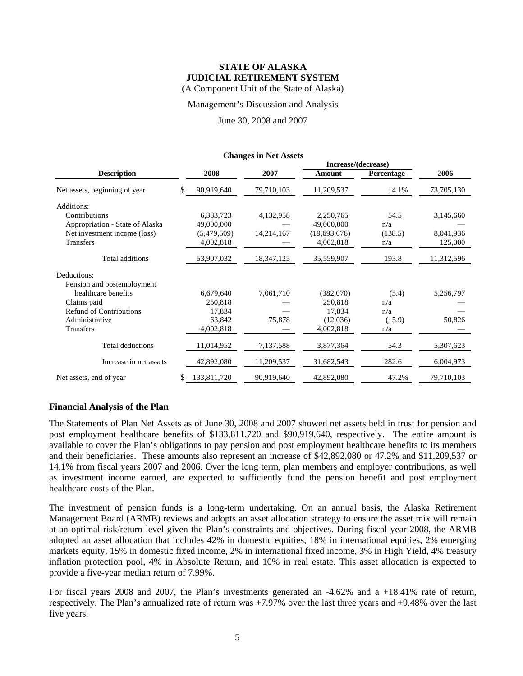### Management's Discussion and Analysis

June 30, 2008 and 2007

**Changes in Net Assets**

|                                 |    |             |              |              | Increase/(decrease) |            |  |
|---------------------------------|----|-------------|--------------|--------------|---------------------|------------|--|
| <b>Description</b>              |    | 2008        | 2007         | Amount       | Percentage          | 2006       |  |
| Net assets, beginning of year   | S  | 90,919,640  | 79,710,103   | 11,209,537   | 14.1%               | 73,705,130 |  |
| Additions:                      |    |             |              |              |                     |            |  |
| Contributions                   |    | 6,383,723   | 4,132,958    | 2,250,765    | 54.5                | 3,145,660  |  |
| Appropriation - State of Alaska |    | 49,000,000  |              | 49,000,000   | n/a                 |            |  |
| Net investment income (loss)    |    | (5,479,509) | 14,214,167   | (19,693,676) | (138.5)             | 8,041,936  |  |
| <b>Transfers</b>                |    | 4,002,818   |              | 4,002,818    | n/a                 | 125,000    |  |
| Total additions                 |    | 53,907,032  | 18, 347, 125 | 35,559,907   | 193.8               | 11,312,596 |  |
| Deductions:                     |    |             |              |              |                     |            |  |
| Pension and postemployment      |    |             |              |              |                     |            |  |
| healthcare benefits             |    | 6,679,640   | 7,061,710    | (382,070)    | (5.4)               | 5,256,797  |  |
| Claims paid                     |    | 250,818     |              | 250,818      | n/a                 |            |  |
| <b>Refund of Contributions</b>  |    | 17,834      |              | 17,834       | n/a                 |            |  |
| Administrative                  |    | 63,842      | 75,878       | (12,036)     | (15.9)              | 50,826     |  |
| <b>Transfers</b>                |    | 4,002,818   |              | 4,002,818    | n/a                 |            |  |
| Total deductions                |    | 11,014,952  | 7,137,588    | 3,877,364    | 54.3                | 5,307,623  |  |
| Increase in net assets          |    | 42,892,080  | 11,209,537   | 31,682,543   | 282.6               | 6,004,973  |  |
| Net assets, end of year         | \$ | 133,811,720 | 90,919,640   | 42,892,080   | 47.2%               | 79,710,103 |  |

### **Financial Analysis of the Plan**

The Statements of Plan Net Assets as of June 30, 2008 and 2007 showed net assets held in trust for pension and post employment healthcare benefits of \$133,811,720 and \$90,919,640, respectively. The entire amount is available to cover the Plan's obligations to pay pension and post employment healthcare benefits to its members and their beneficiaries. These amounts also represent an increase of \$42,892,080 or 47.2% and \$11,209,537 or 14.1% from fiscal years 2007 and 2006. Over the long term, plan members and employer contributions, as well as investment income earned, are expected to sufficiently fund the pension benefit and post employment healthcare costs of the Plan.

The investment of pension funds is a long-term undertaking. On an annual basis, the Alaska Retirement Management Board (ARMB) reviews and adopts an asset allocation strategy to ensure the asset mix will remain at an optimal risk/return level given the Plan's constraints and objectives. During fiscal year 2008, the ARMB adopted an asset allocation that includes 42% in domestic equities, 18% in international equities, 2% emerging markets equity, 15% in domestic fixed income, 2% in international fixed income, 3% in High Yield, 4% treasury inflation protection pool, 4% in Absolute Return, and 10% in real estate. This asset allocation is expected to provide a five-year median return of 7.99%.

For fiscal years 2008 and 2007, the Plan's investments generated an -4.62% and a +18.41% rate of return, respectively. The Plan's annualized rate of return was +7.97% over the last three years and +9.48% over the last five years.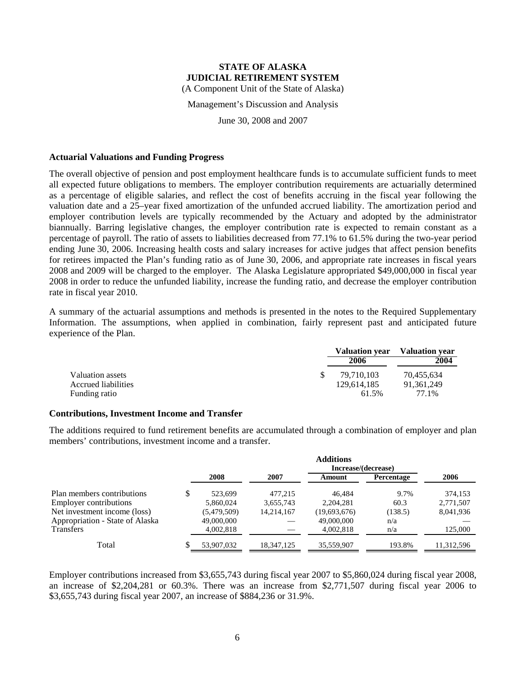Management's Discussion and Analysis

June 30, 2008 and 2007

#### **Actuarial Valuations and Funding Progress**

The overall objective of pension and post employment healthcare funds is to accumulate sufficient funds to meet all expected future obligations to members. The employer contribution requirements are actuarially determined as a percentage of eligible salaries, and reflect the cost of benefits accruing in the fiscal year following the valuation date and a 25–year fixed amortization of the unfunded accrued liability. The amortization period and employer contribution levels are typically recommended by the Actuary and adopted by the administrator biannually. Barring legislative changes, the employer contribution rate is expected to remain constant as a percentage of payroll. The ratio of assets to liabilities decreased from 77.1% to 61.5% during the two-year period ending June 30, 2006. Increasing health costs and salary increases for active judges that affect pension benefits for retirees impacted the Plan's funding ratio as of June 30, 2006, and appropriate rate increases in fiscal years 2008 and 2009 will be charged to the employer. The Alaska Legislature appropriated \$49,000,000 in fiscal year 2008 in order to reduce the unfunded liability, increase the funding ratio, and decrease the employer contribution rate in fiscal year 2010.

A summary of the actuarial assumptions and methods is presented in the notes to the Required Supplementary Information. The assumptions, when applied in combination, fairly represent past and anticipated future experience of the Plan.

|                     | <b>Valuation year</b> | <b>Valuation year</b> |
|---------------------|-----------------------|-----------------------|
|                     | 2006                  | 2004                  |
| Valuation assets    | 79.710.103            | 70,455,634            |
| Accrued liabilities | 129.614.185           | 91.361.249            |
| Funding ratio       | 61.5%                 | 77.1%                 |

### **Contributions, Investment Income and Transfer**

The additions required to fund retirement benefits are accumulated through a combination of employer and plan members' contributions, investment income and a transfer.

|                                 |   | <b>Additions</b> |            |                     |            |            |  |  |  |  |
|---------------------------------|---|------------------|------------|---------------------|------------|------------|--|--|--|--|
|                                 |   |                  |            | Increase/(decrease) |            |            |  |  |  |  |
|                                 |   | 2008             | 2007       | Amount              | Percentage | 2006       |  |  |  |  |
| Plan members contributions      | S | 523.699          | 477.215    | 46.484              | 9.7%       | 374,153    |  |  |  |  |
| <b>Employer contributions</b>   |   | 5,860,024        | 3,655,743  | 2,204,281           | 60.3       | 2,771,507  |  |  |  |  |
| Net investment income (loss)    |   | (5,479,509)      | 14,214,167 | (19,693,676)        | (138.5)    | 8,041,936  |  |  |  |  |
| Appropriation - State of Alaska |   | 49,000,000       |            | 49,000,000          | n/a        |            |  |  |  |  |
| <b>Transfers</b>                |   | 4,002,818        |            | 4.002.818           | n/a        | 125,000    |  |  |  |  |
| Total                           |   | 53,907,032       | 18.347.125 | 35,559,907          | 193.8%     | 11,312,596 |  |  |  |  |

Employer contributions increased from \$3,655,743 during fiscal year 2007 to \$5,860,024 during fiscal year 2008, an increase of \$2,204,281 or 60.3%. There was an increase from \$2,771,507 during fiscal year 2006 to \$3,655,743 during fiscal year 2007, an increase of \$884,236 or 31.9%.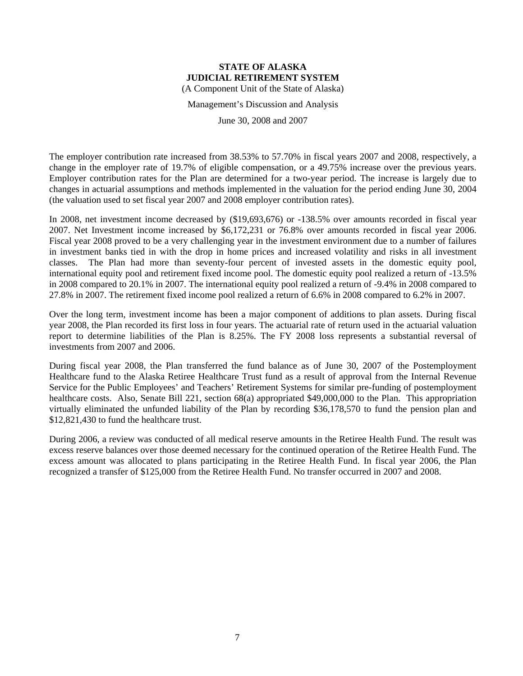Management's Discussion and Analysis

June 30, 2008 and 2007

The employer contribution rate increased from 38.53% to 57.70% in fiscal years 2007 and 2008, respectively, a change in the employer rate of 19.7% of eligible compensation, or a 49.75% increase over the previous years. Employer contribution rates for the Plan are determined for a two-year period. The increase is largely due to changes in actuarial assumptions and methods implemented in the valuation for the period ending June 30, 2004 (the valuation used to set fiscal year 2007 and 2008 employer contribution rates).

In 2008, net investment income decreased by (\$19,693,676) or -138.5% over amounts recorded in fiscal year 2007. Net Investment income increased by \$6,172,231 or 76.8% over amounts recorded in fiscal year 2006. Fiscal year 2008 proved to be a very challenging year in the investment environment due to a number of failures in investment banks tied in with the drop in home prices and increased volatility and risks in all investment classes. The Plan had more than seventy-four percent of invested assets in the domestic equity pool, international equity pool and retirement fixed income pool. The domestic equity pool realized a return of -13.5% in 2008 compared to 20.1% in 2007. The international equity pool realized a return of -9.4% in 2008 compared to 27.8% in 2007. The retirement fixed income pool realized a return of 6.6% in 2008 compared to 6.2% in 2007.

Over the long term, investment income has been a major component of additions to plan assets. During fiscal year 2008, the Plan recorded its first loss in four years. The actuarial rate of return used in the actuarial valuation report to determine liabilities of the Plan is 8.25%. The FY 2008 loss represents a substantial reversal of investments from 2007 and 2006.

During fiscal year 2008, the Plan transferred the fund balance as of June 30, 2007 of the Postemployment Healthcare fund to the Alaska Retiree Healthcare Trust fund as a result of approval from the Internal Revenue Service for the Public Employees' and Teachers' Retirement Systems for similar pre-funding of postemployment healthcare costs. Also, Senate Bill 221, section 68(a) appropriated \$49,000,000 to the Plan. This appropriation virtually eliminated the unfunded liability of the Plan by recording \$36,178,570 to fund the pension plan and \$12,821,430 to fund the healthcare trust.

During 2006, a review was conducted of all medical reserve amounts in the Retiree Health Fund. The result was excess reserve balances over those deemed necessary for the continued operation of the Retiree Health Fund. The excess amount was allocated to plans participating in the Retiree Health Fund. In fiscal year 2006, the Plan recognized a transfer of \$125,000 from the Retiree Health Fund. No transfer occurred in 2007 and 2008.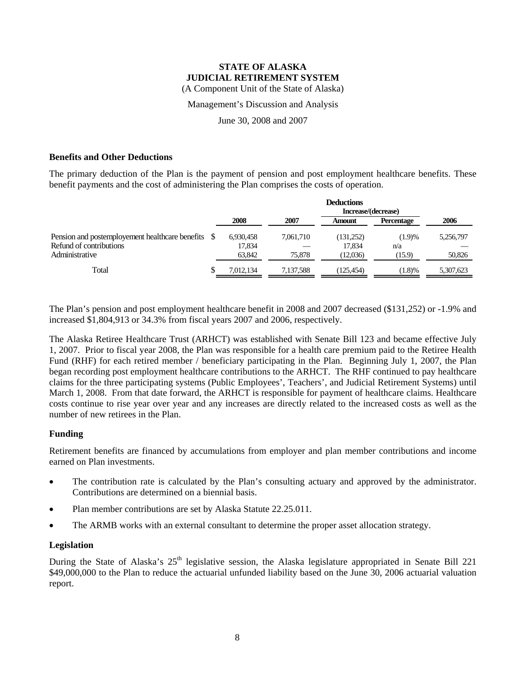Management's Discussion and Analysis

June 30, 2008 and 2007

### **Benefits and Other Deductions**

The primary deduction of the Plan is the payment of pension and post employment healthcare benefits. These benefit payments and the cost of administering the Plan comprises the costs of operation.

|                                                    |    | <b>Deductions</b> |           |           |            |           |  |  |
|----------------------------------------------------|----|-------------------|-----------|-----------|------------|-----------|--|--|
|                                                    |    |                   |           |           |            |           |  |  |
|                                                    |    | 2008              | 2007      | Amount    | Percentage | 2006      |  |  |
| Pension and postemployement healthcare benefits \$ |    | 6,930,458         | 7.061.710 | (131,252) | (1.9)%     | 5,256,797 |  |  |
| Refund of contributions                            |    | 17.834            |           | 17.834    | n/a        |           |  |  |
| Administrative                                     |    | 63.842            | 75,878    | (12,036)  | (15.9)     | 50,826    |  |  |
| Total                                              | ٠D | 7.012.134         | 7.137.588 | (125.454) | (1.8)%     | 5,307,623 |  |  |

The Plan's pension and post employment healthcare benefit in 2008 and 2007 decreased (\$131,252) or -1.9% and increased \$1,804,913 or 34.3% from fiscal years 2007 and 2006, respectively.

The Alaska Retiree Healthcare Trust (ARHCT) was established with Senate Bill 123 and became effective July 1, 2007. Prior to fiscal year 2008, the Plan was responsible for a health care premium paid to the Retiree Health Fund (RHF) for each retired member / beneficiary participating in the Plan. Beginning July 1, 2007, the Plan began recording post employment healthcare contributions to the ARHCT. The RHF continued to pay healthcare claims for the three participating systems (Public Employees', Teachers', and Judicial Retirement Systems) until March 1, 2008. From that date forward, the ARHCT is responsible for payment of healthcare claims. Healthcare costs continue to rise year over year and any increases are directly related to the increased costs as well as the number of new retirees in the Plan.

### **Funding**

Retirement benefits are financed by accumulations from employer and plan member contributions and income earned on Plan investments.

- The contribution rate is calculated by the Plan's consulting actuary and approved by the administrator. Contributions are determined on a biennial basis.
- Plan member contributions are set by Alaska Statute 22.25.011.
- The ARMB works with an external consultant to determine the proper asset allocation strategy.

### **Legislation**

During the State of Alaska's  $25<sup>th</sup>$  legislative session, the Alaska legislature appropriated in Senate Bill 221 \$49,000,000 to the Plan to reduce the actuarial unfunded liability based on the June 30, 2006 actuarial valuation report.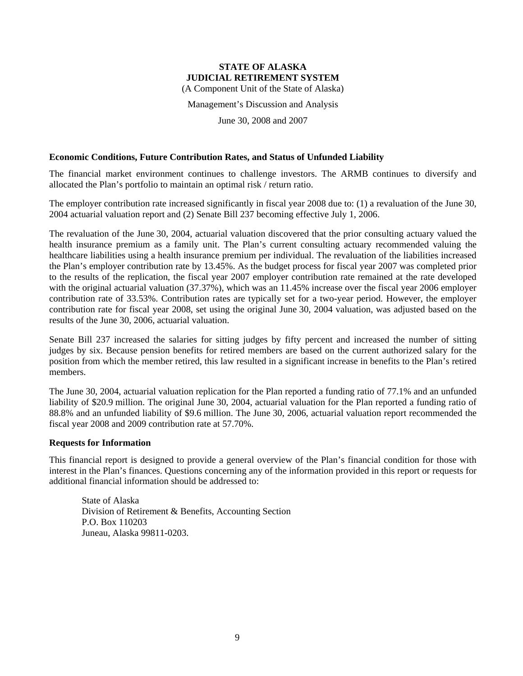(A Component Unit of the State of Alaska)

Management's Discussion and Analysis

June 30, 2008 and 2007

### **Economic Conditions, Future Contribution Rates, and Status of Unfunded Liability**

The financial market environment continues to challenge investors. The ARMB continues to diversify and allocated the Plan's portfolio to maintain an optimal risk / return ratio.

The employer contribution rate increased significantly in fiscal year 2008 due to: (1) a revaluation of the June 30, 2004 actuarial valuation report and (2) Senate Bill 237 becoming effective July 1, 2006.

The revaluation of the June 30, 2004, actuarial valuation discovered that the prior consulting actuary valued the health insurance premium as a family unit. The Plan's current consulting actuary recommended valuing the healthcare liabilities using a health insurance premium per individual. The revaluation of the liabilities increased the Plan's employer contribution rate by 13.45%. As the budget process for fiscal year 2007 was completed prior to the results of the replication, the fiscal year 2007 employer contribution rate remained at the rate developed with the original actuarial valuation (37.37%), which was an 11.45% increase over the fiscal year 2006 employer contribution rate of 33.53%. Contribution rates are typically set for a two-year period. However, the employer contribution rate for fiscal year 2008, set using the original June 30, 2004 valuation, was adjusted based on the results of the June 30, 2006, actuarial valuation.

Senate Bill 237 increased the salaries for sitting judges by fifty percent and increased the number of sitting judges by six. Because pension benefits for retired members are based on the current authorized salary for the position from which the member retired, this law resulted in a significant increase in benefits to the Plan's retired members.

The June 30, 2004, actuarial valuation replication for the Plan reported a funding ratio of 77.1% and an unfunded liability of \$20.9 million. The original June 30, 2004, actuarial valuation for the Plan reported a funding ratio of 88.8% and an unfunded liability of \$9.6 million. The June 30, 2006, actuarial valuation report recommended the fiscal year 2008 and 2009 contribution rate at 57.70%.

### **Requests for Information**

This financial report is designed to provide a general overview of the Plan's financial condition for those with interest in the Plan's finances. Questions concerning any of the information provided in this report or requests for additional financial information should be addressed to:

State of Alaska Division of Retirement & Benefits, Accounting Section P.O. Box 110203 Juneau, Alaska 99811-0203.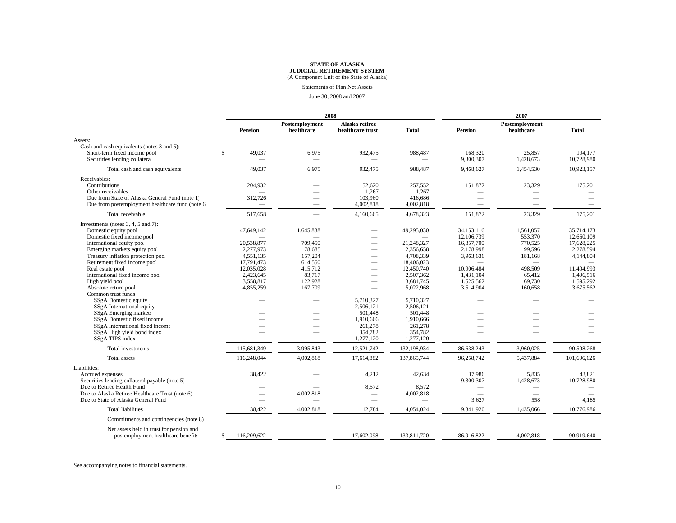Statements of Plan Net Assets

June 30, 2008 and 2007

|                                                                                                             |                          |                              | 2008                               | 2007         |                               |                              |                       |
|-------------------------------------------------------------------------------------------------------------|--------------------------|------------------------------|------------------------------------|--------------|-------------------------------|------------------------------|-----------------------|
|                                                                                                             | <b>Pension</b>           | Postemployment<br>healthcare | Alaska retiree<br>healthcare trust | <b>Total</b> | <b>Pension</b>                | Postemployment<br>healthcare | <b>Total</b>          |
| Assets:                                                                                                     |                          |                              |                                    |              |                               |                              |                       |
| Cash and cash equivalents (notes 3 and 5):<br>Short-term fixed income pool<br>Securities lending collateral | \$<br>49,037             | 6,975                        | 932,475                            | 988,487      | 168,320<br>9,300,307          | 25,857<br>1,428,673          | 194,177<br>10,728,980 |
| Total cash and cash equivalents                                                                             | 49,037                   | 6,975                        | 932,475                            | 988,487      | 9,468,627                     | 1,454,530                    | 10,923,157            |
| Receivables:                                                                                                |                          |                              |                                    |              |                               |                              |                       |
| Contributions                                                                                               | 204,932                  |                              | 52,620                             | 257,552      | 151,872                       | 23,329                       | 175,201               |
| Other receivables                                                                                           |                          |                              | 1,267                              | 1,267        |                               |                              |                       |
| Due from State of Alaska General Fund (note 1)                                                              | 312,726                  |                              | 103,960                            | 416,686      | -                             |                              |                       |
| Due from postemployment healthcare fund (note 6)                                                            | -                        |                              | 4,002,818                          | 4,002,818    |                               |                              |                       |
| Total receivable                                                                                            | 517,658                  |                              | 4,160,665                          | 4,678,323    | 151,872                       | 23,329                       | 175,201               |
| Investments (notes 3, 4, 5 and 7):                                                                          |                          |                              |                                    |              |                               |                              |                       |
| Domestic equity pool                                                                                        | 47,649,142               | 1,645,888                    |                                    | 49,295,030   | 34.153.116                    | 1,561,057                    | 35.714.173            |
| Domestic fixed income pool                                                                                  |                          |                              |                                    |              | 12,106,739                    | 553,370                      | 12,660,109            |
| International equity pool                                                                                   | 20,538,877               | 709,450                      |                                    | 21,248,327   | 16,857,700                    | 770,525                      | 17,628,225            |
| Emerging markets equity pool                                                                                | 2,277,973                | 78,685                       |                                    | 2,356,658    | 2,178,998                     | 99,596                       | 2,278,594             |
| Treasury inflation protection pool                                                                          | 4.551.135                | 157,204                      |                                    | 4,708,339    | 3.963.636                     | 181.168                      | 4,144,804             |
| Retirement fixed income pool                                                                                | 17,791,473               | 614,550                      |                                    | 18,406,023   |                               | -                            |                       |
| Real estate pool                                                                                            | 12,035,028               | 415,712                      |                                    | 12,450,740   | 10,906,484                    | 498,509                      | 11,404,993            |
| International fixed income pool                                                                             | 2,423,645                | 83,717                       |                                    | 2,507,362    | 1.431.104                     | 65,412                       | 1.496.516             |
| High yield pool                                                                                             | 3,558,817                | 122,928                      |                                    | 3,681,745    | 1,525,562                     | 69,730                       | 1,595,292             |
| Absolute return pool                                                                                        | 4,855,259                | 167,709                      |                                    | 5,022,968    | 3,514,904                     | 160,658                      | 3,675,562             |
| Common trust funds                                                                                          |                          |                              |                                    |              |                               |                              |                       |
| SSgA Domestic equity                                                                                        |                          |                              | 5,710,327                          | 5,710,327    |                               |                              |                       |
| SSgA International equity                                                                                   |                          |                              | 2,506,121                          | 2,506,121    |                               |                              |                       |
| SSgA Emerging markets                                                                                       |                          |                              | 501.448                            | 501.448      |                               |                              |                       |
| SSgA Domestic fixed income                                                                                  |                          |                              | 1,910,666                          | 1,910,666    |                               |                              |                       |
| SSgA International fixed income                                                                             |                          |                              | 261,278                            | 261,278      |                               |                              |                       |
| SSgA High yield bond index                                                                                  |                          |                              | 354,782                            | 354.782      |                               |                              |                       |
| SSgA TIPS index                                                                                             | $\overline{\phantom{a}}$ | $\overline{\phantom{a}}$     | 1,277,120                          | 1,277,120    | $\overbrace{\phantom{12332}}$ | -                            |                       |
| Total investments                                                                                           | 115,681,349              | 3,995,843                    | 12,521,742                         | 132,198,934  | 86,638,243                    | 3,960,025                    | 90,598,268            |
| Total assets                                                                                                | 116,248,044              | 4,002,818                    | 17,614,882                         | 137,865,744  | 96,258,742                    | 5,437,884                    | 101,696,626           |
| Liabilities:                                                                                                |                          |                              |                                    |              |                               |                              |                       |
| Accrued expenses                                                                                            | 38.422                   |                              | 4,212                              | 42,634       | 37.986                        | 5.835                        | 43.821                |
| Securities lending collateral payable (note 5)                                                              |                          |                              |                                    |              | 9,300,307                     | 1,428,673                    | 10,728,980            |
| Due to Retiree Health Fund                                                                                  |                          |                              | 8,572                              | 8,572        |                               |                              |                       |
| Due to Alaska Retiree Healthcare Trust (note 6)                                                             |                          | 4,002,818                    | $\overline{\phantom{m}}$           | 4,002,818    |                               |                              |                       |
| Due to State of Alaska General Fund                                                                         | $\overline{\phantom{a}}$ |                              | $\overline{\phantom{m}}$           | -            | 3,627                         | 558                          | 4,185                 |
| <b>Total liabilities</b>                                                                                    | 38,422                   | 4,002,818                    | 12,784                             | 4,054,024    | 9,341,920                     | 1,435,066                    | 10,776,986            |
| Commitments and contingencies (note 8)                                                                      |                          |                              |                                    |              |                               |                              |                       |
| Net assets held in trust for pension and                                                                    |                          |                              |                                    |              |                               |                              |                       |
| postemployment healthcare benefits                                                                          | 116,209,622<br>S.        |                              | 17,602,098                         | 133,811,720  | 86,916,822                    | 4,002,818                    | 90,919,640            |

See accompanying notes to financial statements.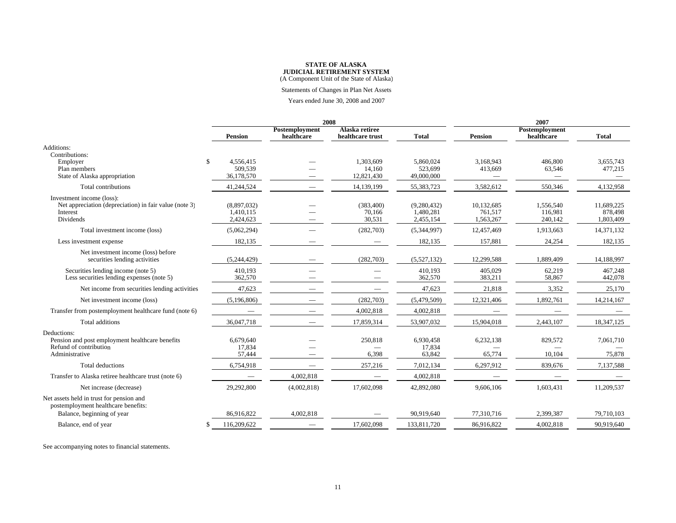Statements of Changes in Plan Net Assets

Years ended June 30, 2008 and 2007

|                                                                                                               |   |                                       |                              | 2008                               | 2007                                  |                                    |                                 |                                    |
|---------------------------------------------------------------------------------------------------------------|---|---------------------------------------|------------------------------|------------------------------------|---------------------------------------|------------------------------------|---------------------------------|------------------------------------|
|                                                                                                               |   | <b>Pension</b>                        | Postemployment<br>healthcare | Alaska retiree<br>healthcare trust | <b>Total</b>                          | <b>Pension</b>                     | Postemployment<br>healthcare    | <b>Total</b>                       |
| Additions:<br>Contributions:                                                                                  |   |                                       |                              |                                    |                                       |                                    |                                 |                                    |
| Employer<br>Plan members<br>State of Alaska appropriation                                                     | S | 4,556,415<br>509,539<br>36,178,570    |                              | 1,303,609<br>14,160<br>12,821,430  | 5,860,024<br>523,699<br>49,000,000    | 3,168,943<br>413,669               | 486,800<br>63,546               | 3,655,743<br>477,215               |
| Total contributions                                                                                           |   | 41,244,524                            |                              | 14,139,199                         | 55,383,723                            | 3,582,612                          | 550,346                         | 4,132,958                          |
| Investment income (loss):<br>Net appreciation (depreciation) in fair value (note 3)<br>Interest<br>Dividends  |   | (8,897,032)<br>1,410,115<br>2,424,623 |                              | (383, 400)<br>70,166<br>30,531     | (9,280,432)<br>1,480,281<br>2,455,154 | 10,132,685<br>761,517<br>1,563,267 | 1,556,540<br>116,981<br>240,142 | 11,689,225<br>878,498<br>1,803,409 |
| Total investment income (loss)                                                                                |   | (5,062,294)                           |                              | (282,703)                          | (5,344,997)                           | 12,457,469                         | 1,913,663                       | 14,371,132                         |
| Less investment expense                                                                                       |   | 182,135                               |                              |                                    | 182,135                               | 157,881                            | 24,254                          | 182,135                            |
| Net investment income (loss) before<br>securities lending activities                                          |   | (5,244,429)                           |                              | (282,703)                          | (5,527,132)                           | 12,299,588                         | 1,889,409                       | 14,188,997                         |
| Securities lending income (note 5)<br>Less securities lending expenses (note 5)                               |   | 410.193<br>362,570                    |                              |                                    | 410,193<br>362,570                    | 405.029<br>383,211                 | 62,219<br>58,867                | 467.248<br>442,078                 |
| Net income from securities lending activities                                                                 |   | 47,623                                |                              |                                    | 47,623                                | 21,818                             | 3,352                           | 25,170                             |
| Net investment income (loss)                                                                                  |   | (5,196,806)                           |                              | (282,703)                          | (5,479,509)                           | 12,321,406                         | 1,892,761                       | 14,214,167                         |
| Transfer from postemployment healthcare fund (note 6)                                                         |   | $\overline{\phantom{0}}$              |                              | 4,002,818                          | 4,002,818                             |                                    |                                 |                                    |
| Total additions                                                                                               |   | 36,047,718                            |                              | 17,859,314                         | 53,907,032                            | 15,904,018                         | 2,443,107                       | 18,347,125                         |
| Deductions:<br>Pension and post employment healthcare benefits<br>Refund of contribution<br>Administrative    |   | 6,679,640<br>17,834<br>57,444         |                              | 250,818<br>6,398                   | 6,930,458<br>17,834<br>63,842         | 6,232,138<br>65,774                | 829,572<br>10,104               | 7,061,710<br>75,878                |
| Total deductions                                                                                              |   | 6,754,918                             |                              | 257,216                            | 7,012,134                             | 6,297,912                          | 839,676                         | 7,137,588                          |
| Transfer to Alaska retiree healthcare trust (note 6)                                                          |   |                                       | 4,002,818                    |                                    | 4,002,818                             |                                    |                                 |                                    |
| Net increase (decrease)                                                                                       |   | 29,292,800                            | (4,002,818)                  | 17,602,098                         | 42,892,080                            | 9,606,106                          | 1,603,431                       | 11,209,537                         |
| Net assets held in trust for pension and<br>postemployment healthcare benefits:<br>Balance, beginning of year |   | 86,916,822                            | 4.002.818                    |                                    | 90.919.640                            | 77,310,716                         | 2,399,387                       | 79.710.103                         |
| Balance, end of year                                                                                          |   | 116,209,622                           |                              | 17,602,098                         | 133,811,720                           | 86,916,822                         | 4,002,818                       | 90,919,640                         |
|                                                                                                               |   |                                       |                              |                                    |                                       |                                    |                                 |                                    |

See accompanying notes to financial statements.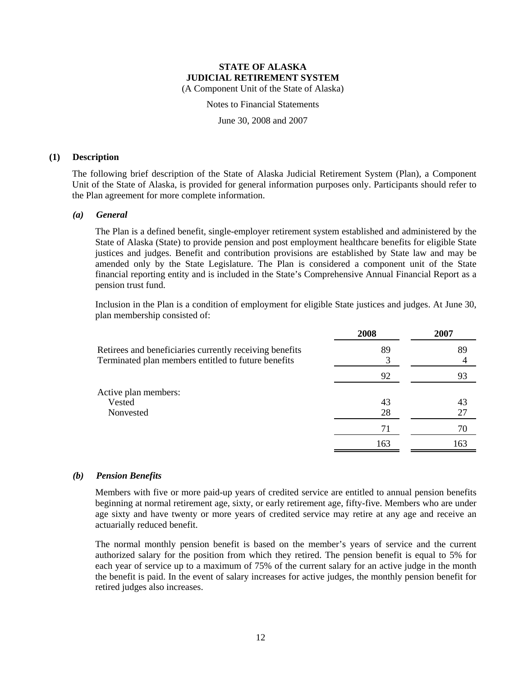Notes to Financial Statements

June 30, 2008 and 2007

### **(1) Description**

The following brief description of the State of Alaska Judicial Retirement System (Plan), a Component Unit of the State of Alaska, is provided for general information purposes only. Participants should refer to the Plan agreement for more complete information.

### *(a) General*

The Plan is a defined benefit, single-employer retirement system established and administered by the State of Alaska (State) to provide pension and post employment healthcare benefits for eligible State justices and judges. Benefit and contribution provisions are established by State law and may be amended only by the State Legislature. The Plan is considered a component unit of the State financial reporting entity and is included in the State's Comprehensive Annual Financial Report as a pension trust fund.

Inclusion in the Plan is a condition of employment for eligible State justices and judges. At June 30, plan membership consisted of:

|                                                                                                                | 2008     | 2007     |
|----------------------------------------------------------------------------------------------------------------|----------|----------|
| Retirees and beneficiaries currently receiving benefits<br>Terminated plan members entitled to future benefits | 89       | 89       |
|                                                                                                                | 92       | 93       |
| Active plan members:<br>Vested<br>Nonvested                                                                    | 43<br>28 | 43<br>27 |
|                                                                                                                | 71       | 70       |
|                                                                                                                | 163      | 163      |
|                                                                                                                |          |          |

### *(b) Pension Benefits*

Members with five or more paid-up years of credited service are entitled to annual pension benefits beginning at normal retirement age, sixty, or early retirement age, fifty-five. Members who are under age sixty and have twenty or more years of credited service may retire at any age and receive an actuarially reduced benefit.

The normal monthly pension benefit is based on the member's years of service and the current authorized salary for the position from which they retired. The pension benefit is equal to 5% for each year of service up to a maximum of 75% of the current salary for an active judge in the month the benefit is paid. In the event of salary increases for active judges, the monthly pension benefit for retired judges also increases.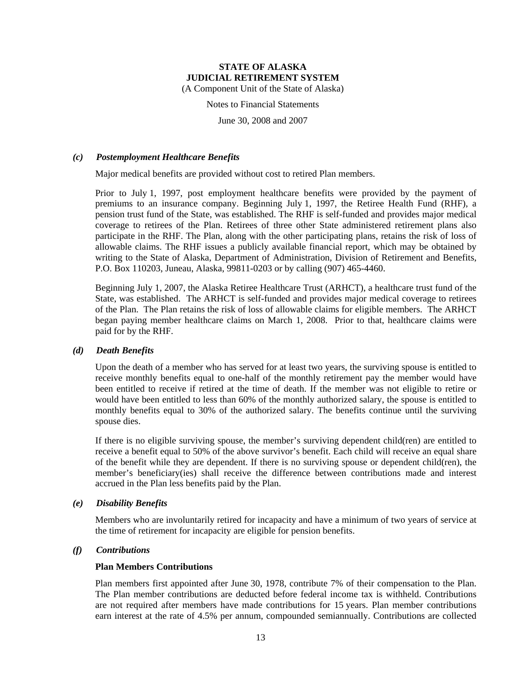(A Component Unit of the State of Alaska)

Notes to Financial Statements

June 30, 2008 and 2007

### *(c) Postemployment Healthcare Benefits*

Major medical benefits are provided without cost to retired Plan members.

Prior to July 1, 1997, post employment healthcare benefits were provided by the payment of premiums to an insurance company. Beginning July 1, 1997, the Retiree Health Fund (RHF), a pension trust fund of the State, was established. The RHF is self-funded and provides major medical coverage to retirees of the Plan. Retirees of three other State administered retirement plans also participate in the RHF. The Plan, along with the other participating plans, retains the risk of loss of allowable claims. The RHF issues a publicly available financial report, which may be obtained by writing to the State of Alaska, Department of Administration, Division of Retirement and Benefits, P.O. Box 110203, Juneau, Alaska, 99811-0203 or by calling (907) 465-4460.

Beginning July 1, 2007, the Alaska Retiree Healthcare Trust (ARHCT), a healthcare trust fund of the State, was established. The ARHCT is self-funded and provides major medical coverage to retirees of the Plan. The Plan retains the risk of loss of allowable claims for eligible members. The ARHCT began paying member healthcare claims on March 1, 2008. Prior to that, healthcare claims were paid for by the RHF.

### *(d) Death Benefits*

Upon the death of a member who has served for at least two years, the surviving spouse is entitled to receive monthly benefits equal to one-half of the monthly retirement pay the member would have been entitled to receive if retired at the time of death. If the member was not eligible to retire or would have been entitled to less than 60% of the monthly authorized salary, the spouse is entitled to monthly benefits equal to 30% of the authorized salary. The benefits continue until the surviving spouse dies.

If there is no eligible surviving spouse, the member's surviving dependent child(ren) are entitled to receive a benefit equal to 50% of the above survivor's benefit. Each child will receive an equal share of the benefit while they are dependent. If there is no surviving spouse or dependent child(ren), the member's beneficiary(ies) shall receive the difference between contributions made and interest accrued in the Plan less benefits paid by the Plan.

### *(e) Disability Benefits*

Members who are involuntarily retired for incapacity and have a minimum of two years of service at the time of retirement for incapacity are eligible for pension benefits.

### *(f) Contributions*

### **Plan Members Contributions**

Plan members first appointed after June 30, 1978, contribute 7% of their compensation to the Plan. The Plan member contributions are deducted before federal income tax is withheld. Contributions are not required after members have made contributions for 15 years. Plan member contributions earn interest at the rate of 4.5% per annum, compounded semiannually. Contributions are collected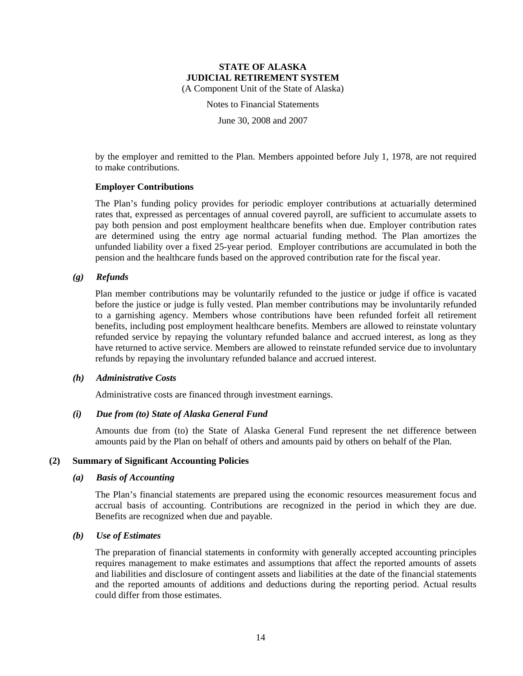Notes to Financial Statements

June 30, 2008 and 2007

by the employer and remitted to the Plan. Members appointed before July 1, 1978, are not required to make contributions.

### **Employer Contributions**

The Plan's funding policy provides for periodic employer contributions at actuarially determined rates that, expressed as percentages of annual covered payroll, are sufficient to accumulate assets to pay both pension and post employment healthcare benefits when due. Employer contribution rates are determined using the entry age normal actuarial funding method. The Plan amortizes the unfunded liability over a fixed 25-year period. Employer contributions are accumulated in both the pension and the healthcare funds based on the approved contribution rate for the fiscal year.

### *(g) Refunds*

Plan member contributions may be voluntarily refunded to the justice or judge if office is vacated before the justice or judge is fully vested. Plan member contributions may be involuntarily refunded to a garnishing agency. Members whose contributions have been refunded forfeit all retirement benefits, including post employment healthcare benefits. Members are allowed to reinstate voluntary refunded service by repaying the voluntary refunded balance and accrued interest, as long as they have returned to active service. Members are allowed to reinstate refunded service due to involuntary refunds by repaying the involuntary refunded balance and accrued interest.

### *(h) Administrative Costs*

Administrative costs are financed through investment earnings.

### *(i) Due from (to) State of Alaska General Fund*

Amounts due from (to) the State of Alaska General Fund represent the net difference between amounts paid by the Plan on behalf of others and amounts paid by others on behalf of the Plan.

### **(2) Summary of Significant Accounting Policies**

### *(a) Basis of Accounting*

The Plan's financial statements are prepared using the economic resources measurement focus and accrual basis of accounting. Contributions are recognized in the period in which they are due. Benefits are recognized when due and payable.

### *(b) Use of Estimates*

The preparation of financial statements in conformity with generally accepted accounting principles requires management to make estimates and assumptions that affect the reported amounts of assets and liabilities and disclosure of contingent assets and liabilities at the date of the financial statements and the reported amounts of additions and deductions during the reporting period. Actual results could differ from those estimates.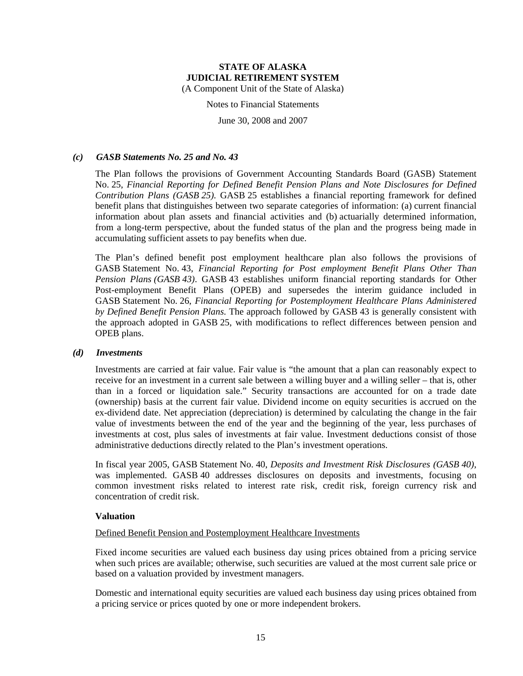(A Component Unit of the State of Alaska)

Notes to Financial Statements

June 30, 2008 and 2007

### *(c) GASB Statements No. 25 and No. 43*

The Plan follows the provisions of Government Accounting Standards Board (GASB) Statement No. 25, *Financial Reporting for Defined Benefit Pension Plans and Note Disclosures for Defined Contribution Plans (GASB 25).* GASB 25 establishes a financial reporting framework for defined benefit plans that distinguishes between two separate categories of information: (a) current financial information about plan assets and financial activities and (b) actuarially determined information, from a long-term perspective, about the funded status of the plan and the progress being made in accumulating sufficient assets to pay benefits when due.

The Plan's defined benefit post employment healthcare plan also follows the provisions of GASB Statement No. 43, *Financial Reporting for Post employment Benefit Plans Other Than Pension Plans (GASB 43)*. GASB 43 establishes uniform financial reporting standards for Other Post-employment Benefit Plans (OPEB) and supersedes the interim guidance included in GASB Statement No. 26, *Financial Reporting for Postemployment Healthcare Plans Administered by Defined Benefit Pension Plans*. The approach followed by GASB 43 is generally consistent with the approach adopted in GASB 25, with modifications to reflect differences between pension and OPEB plans.

### *(d) Investments*

Investments are carried at fair value. Fair value is "the amount that a plan can reasonably expect to receive for an investment in a current sale between a willing buyer and a willing seller – that is, other than in a forced or liquidation sale." Security transactions are accounted for on a trade date (ownership) basis at the current fair value. Dividend income on equity securities is accrued on the ex-dividend date. Net appreciation (depreciation) is determined by calculating the change in the fair value of investments between the end of the year and the beginning of the year, less purchases of investments at cost, plus sales of investments at fair value. Investment deductions consist of those administrative deductions directly related to the Plan's investment operations.

In fiscal year 2005, GASB Statement No. 40, *Deposits and Investment Risk Disclosures (GASB 40)*, was implemented. GASB 40 addresses disclosures on deposits and investments, focusing on common investment risks related to interest rate risk, credit risk, foreign currency risk and concentration of credit risk.

### **Valuation**

### Defined Benefit Pension and Postemployment Healthcare Investments

Fixed income securities are valued each business day using prices obtained from a pricing service when such prices are available; otherwise, such securities are valued at the most current sale price or based on a valuation provided by investment managers.

Domestic and international equity securities are valued each business day using prices obtained from a pricing service or prices quoted by one or more independent brokers.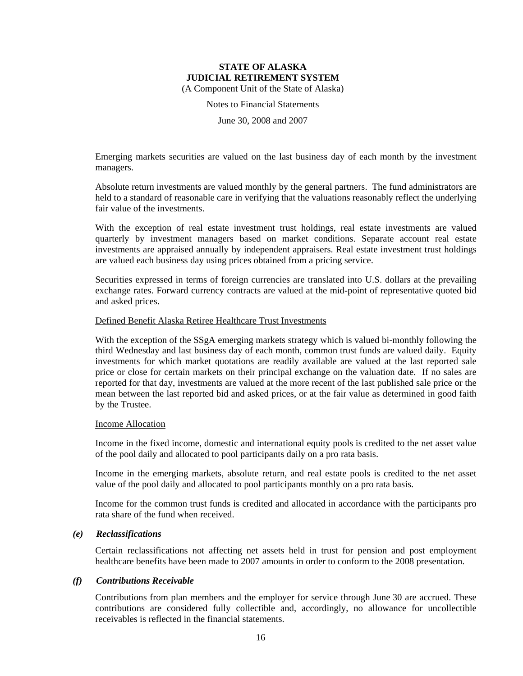Notes to Financial Statements

June 30, 2008 and 2007

Emerging markets securities are valued on the last business day of each month by the investment managers.

Absolute return investments are valued monthly by the general partners. The fund administrators are held to a standard of reasonable care in verifying that the valuations reasonably reflect the underlying fair value of the investments.

With the exception of real estate investment trust holdings, real estate investments are valued quarterly by investment managers based on market conditions. Separate account real estate investments are appraised annually by independent appraisers. Real estate investment trust holdings are valued each business day using prices obtained from a pricing service.

Securities expressed in terms of foreign currencies are translated into U.S. dollars at the prevailing exchange rates. Forward currency contracts are valued at the mid-point of representative quoted bid and asked prices.

#### Defined Benefit Alaska Retiree Healthcare Trust Investments

With the exception of the SSgA emerging markets strategy which is valued bi-monthly following the third Wednesday and last business day of each month, common trust funds are valued daily. Equity investments for which market quotations are readily available are valued at the last reported sale price or close for certain markets on their principal exchange on the valuation date. If no sales are reported for that day, investments are valued at the more recent of the last published sale price or the mean between the last reported bid and asked prices, or at the fair value as determined in good faith by the Trustee.

#### Income Allocation

Income in the fixed income, domestic and international equity pools is credited to the net asset value of the pool daily and allocated to pool participants daily on a pro rata basis.

Income in the emerging markets, absolute return, and real estate pools is credited to the net asset value of the pool daily and allocated to pool participants monthly on a pro rata basis.

Income for the common trust funds is credited and allocated in accordance with the participants pro rata share of the fund when received.

### *(e) Reclassifications*

Certain reclassifications not affecting net assets held in trust for pension and post employment healthcare benefits have been made to 2007 amounts in order to conform to the 2008 presentation.

### *(f) Contributions Receivable*

Contributions from plan members and the employer for service through June 30 are accrued. These contributions are considered fully collectible and, accordingly, no allowance for uncollectible receivables is reflected in the financial statements.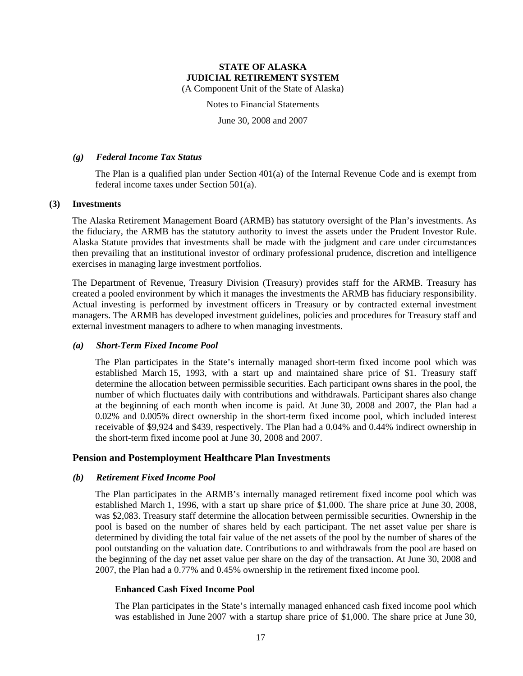(A Component Unit of the State of Alaska)

Notes to Financial Statements

June 30, 2008 and 2007

### *(g) Federal Income Tax Status*

The Plan is a qualified plan under Section 401(a) of the Internal Revenue Code and is exempt from federal income taxes under Section 501(a).

### **(3) Investments**

The Alaska Retirement Management Board (ARMB) has statutory oversight of the Plan's investments. As the fiduciary, the ARMB has the statutory authority to invest the assets under the Prudent Investor Rule. Alaska Statute provides that investments shall be made with the judgment and care under circumstances then prevailing that an institutional investor of ordinary professional prudence, discretion and intelligence exercises in managing large investment portfolios.

The Department of Revenue, Treasury Division (Treasury) provides staff for the ARMB. Treasury has created a pooled environment by which it manages the investments the ARMB has fiduciary responsibility. Actual investing is performed by investment officers in Treasury or by contracted external investment managers. The ARMB has developed investment guidelines, policies and procedures for Treasury staff and external investment managers to adhere to when managing investments.

### *(a) Short-Term Fixed Income Pool*

The Plan participates in the State's internally managed short-term fixed income pool which was established March 15, 1993, with a start up and maintained share price of \$1. Treasury staff determine the allocation between permissible securities. Each participant owns shares in the pool, the number of which fluctuates daily with contributions and withdrawals. Participant shares also change at the beginning of each month when income is paid. At June 30, 2008 and 2007, the Plan had a 0.02% and 0.005% direct ownership in the short-term fixed income pool, which included interest receivable of \$9,924 and \$439, respectively. The Plan had a 0.04% and 0.44% indirect ownership in the short-term fixed income pool at June 30, 2008 and 2007.

### **Pension and Postemployment Healthcare Plan Investments**

### *(b) Retirement Fixed Income Pool*

The Plan participates in the ARMB's internally managed retirement fixed income pool which was established March 1, 1996, with a start up share price of \$1,000. The share price at June 30, 2008, was \$2,083. Treasury staff determine the allocation between permissible securities. Ownership in the pool is based on the number of shares held by each participant. The net asset value per share is determined by dividing the total fair value of the net assets of the pool by the number of shares of the pool outstanding on the valuation date. Contributions to and withdrawals from the pool are based on the beginning of the day net asset value per share on the day of the transaction. At June 30, 2008 and 2007, the Plan had a 0.77% and 0.45% ownership in the retirement fixed income pool.

### **Enhanced Cash Fixed Income Pool**

The Plan participates in the State's internally managed enhanced cash fixed income pool which was established in June 2007 with a startup share price of \$1,000. The share price at June 30,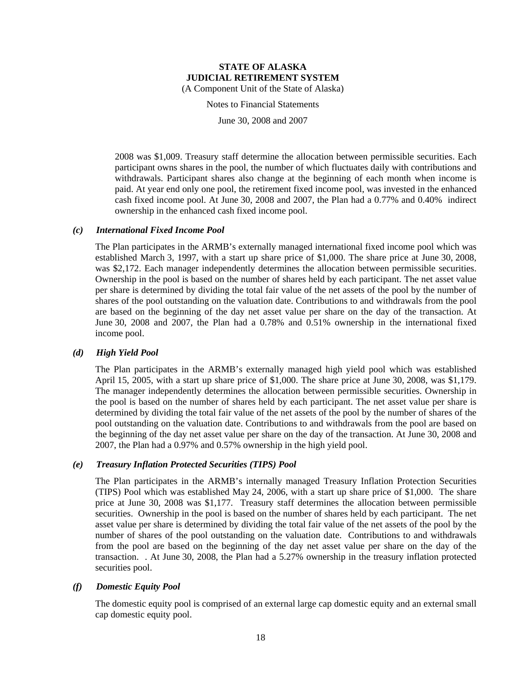Notes to Financial Statements

June 30, 2008 and 2007

2008 was \$1,009. Treasury staff determine the allocation between permissible securities. Each participant owns shares in the pool, the number of which fluctuates daily with contributions and withdrawals. Participant shares also change at the beginning of each month when income is paid. At year end only one pool, the retirement fixed income pool, was invested in the enhanced cash fixed income pool. At June 30, 2008 and 2007, the Plan had a 0.77% and 0.40% indirect ownership in the enhanced cash fixed income pool.

### *(c) International Fixed Income Pool*

The Plan participates in the ARMB's externally managed international fixed income pool which was established March 3, 1997, with a start up share price of \$1,000. The share price at June 30, 2008, was \$2,172. Each manager independently determines the allocation between permissible securities. Ownership in the pool is based on the number of shares held by each participant. The net asset value per share is determined by dividing the total fair value of the net assets of the pool by the number of shares of the pool outstanding on the valuation date. Contributions to and withdrawals from the pool are based on the beginning of the day net asset value per share on the day of the transaction. At June 30, 2008 and 2007, the Plan had a 0.78% and 0.51% ownership in the international fixed income pool.

### *(d) High Yield Pool*

The Plan participates in the ARMB's externally managed high yield pool which was established April 15, 2005, with a start up share price of \$1,000. The share price at June 30, 2008, was \$1,179. The manager independently determines the allocation between permissible securities. Ownership in the pool is based on the number of shares held by each participant. The net asset value per share is determined by dividing the total fair value of the net assets of the pool by the number of shares of the pool outstanding on the valuation date. Contributions to and withdrawals from the pool are based on the beginning of the day net asset value per share on the day of the transaction. At June 30, 2008 and 2007, the Plan had a 0.97% and 0.57% ownership in the high yield pool.

### *(e) Treasury Inflation Protected Securities (TIPS) Pool*

The Plan participates in the ARMB's internally managed Treasury Inflation Protection Securities (TIPS) Pool which was established May 24, 2006, with a start up share price of \$1,000. The share price at June 30, 2008 was \$1,177. Treasury staff determines the allocation between permissible securities. Ownership in the pool is based on the number of shares held by each participant. The net asset value per share is determined by dividing the total fair value of the net assets of the pool by the number of shares of the pool outstanding on the valuation date. Contributions to and withdrawals from the pool are based on the beginning of the day net asset value per share on the day of the transaction. . At June 30, 2008, the Plan had a 5.27% ownership in the treasury inflation protected securities pool.

### *(f) Domestic Equity Pool*

The domestic equity pool is comprised of an external large cap domestic equity and an external small cap domestic equity pool.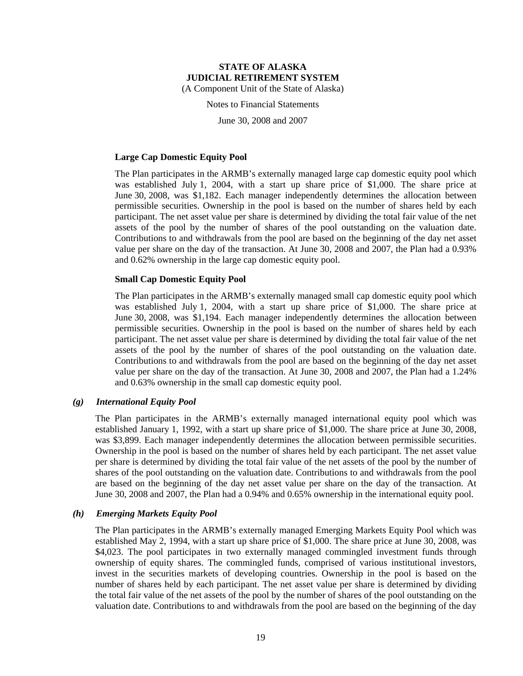(A Component Unit of the State of Alaska)

Notes to Financial Statements

June 30, 2008 and 2007

### **Large Cap Domestic Equity Pool**

The Plan participates in the ARMB's externally managed large cap domestic equity pool which was established July 1, 2004, with a start up share price of \$1,000. The share price at June 30, 2008, was \$1,182. Each manager independently determines the allocation between permissible securities. Ownership in the pool is based on the number of shares held by each participant. The net asset value per share is determined by dividing the total fair value of the net assets of the pool by the number of shares of the pool outstanding on the valuation date. Contributions to and withdrawals from the pool are based on the beginning of the day net asset value per share on the day of the transaction. At June 30, 2008 and 2007, the Plan had a 0.93% and 0.62% ownership in the large cap domestic equity pool.

### **Small Cap Domestic Equity Pool**

The Plan participates in the ARMB's externally managed small cap domestic equity pool which was established July 1, 2004, with a start up share price of \$1,000. The share price at June 30, 2008, was \$1,194. Each manager independently determines the allocation between permissible securities. Ownership in the pool is based on the number of shares held by each participant. The net asset value per share is determined by dividing the total fair value of the net assets of the pool by the number of shares of the pool outstanding on the valuation date. Contributions to and withdrawals from the pool are based on the beginning of the day net asset value per share on the day of the transaction. At June 30, 2008 and 2007, the Plan had a 1.24% and 0.63% ownership in the small cap domestic equity pool.

### *(g) International Equity Pool*

The Plan participates in the ARMB's externally managed international equity pool which was established January 1, 1992, with a start up share price of \$1,000. The share price at June 30, 2008, was \$3,899. Each manager independently determines the allocation between permissible securities. Ownership in the pool is based on the number of shares held by each participant. The net asset value per share is determined by dividing the total fair value of the net assets of the pool by the number of shares of the pool outstanding on the valuation date. Contributions to and withdrawals from the pool are based on the beginning of the day net asset value per share on the day of the transaction. At June 30, 2008 and 2007, the Plan had a 0.94% and 0.65% ownership in the international equity pool.

### *(h) Emerging Markets Equity Pool*

The Plan participates in the ARMB's externally managed Emerging Markets Equity Pool which was established May 2, 1994, with a start up share price of \$1,000. The share price at June 30, 2008, was \$4,023. The pool participates in two externally managed commingled investment funds through ownership of equity shares. The commingled funds, comprised of various institutional investors, invest in the securities markets of developing countries. Ownership in the pool is based on the number of shares held by each participant. The net asset value per share is determined by dividing the total fair value of the net assets of the pool by the number of shares of the pool outstanding on the valuation date. Contributions to and withdrawals from the pool are based on the beginning of the day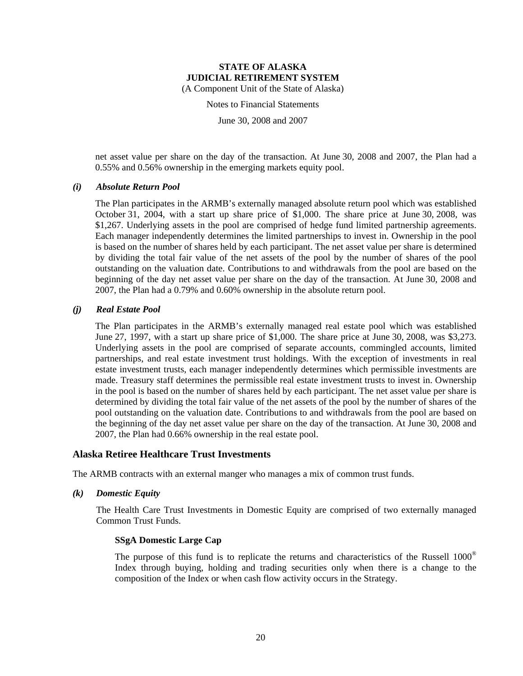Notes to Financial Statements

June 30, 2008 and 2007

net asset value per share on the day of the transaction. At June 30, 2008 and 2007, the Plan had a 0.55% and 0.56% ownership in the emerging markets equity pool.

### *(i) Absolute Return Pool*

The Plan participates in the ARMB's externally managed absolute return pool which was established October 31, 2004, with a start up share price of \$1,000. The share price at June 30, 2008, was \$1,267. Underlying assets in the pool are comprised of hedge fund limited partnership agreements. Each manager independently determines the limited partnerships to invest in. Ownership in the pool is based on the number of shares held by each participant. The net asset value per share is determined by dividing the total fair value of the net assets of the pool by the number of shares of the pool outstanding on the valuation date. Contributions to and withdrawals from the pool are based on the beginning of the day net asset value per share on the day of the transaction. At June 30, 2008 and 2007, the Plan had a 0.79% and 0.60% ownership in the absolute return pool.

### *(j) Real Estate Pool*

The Plan participates in the ARMB's externally managed real estate pool which was established June 27, 1997, with a start up share price of \$1,000. The share price at June 30, 2008, was \$3,273. Underlying assets in the pool are comprised of separate accounts, commingled accounts, limited partnerships, and real estate investment trust holdings. With the exception of investments in real estate investment trusts, each manager independently determines which permissible investments are made. Treasury staff determines the permissible real estate investment trusts to invest in. Ownership in the pool is based on the number of shares held by each participant. The net asset value per share is determined by dividing the total fair value of the net assets of the pool by the number of shares of the pool outstanding on the valuation date. Contributions to and withdrawals from the pool are based on the beginning of the day net asset value per share on the day of the transaction. At June 30, 2008 and 2007, the Plan had 0.66% ownership in the real estate pool.

### **Alaska Retiree Healthcare Trust Investments**

The ARMB contracts with an external manger who manages a mix of common trust funds.

*(k) Domestic Equity* 

The Health Care Trust Investments in Domestic Equity are comprised of two externally managed Common Trust Funds.

### **SSgA Domestic Large Cap**

The purpose of this fund is to replicate the returns and characteristics of the Russell  $1000^\circ$ Index through buying, holding and trading securities only when there is a change to the composition of the Index or when cash flow activity occurs in the Strategy.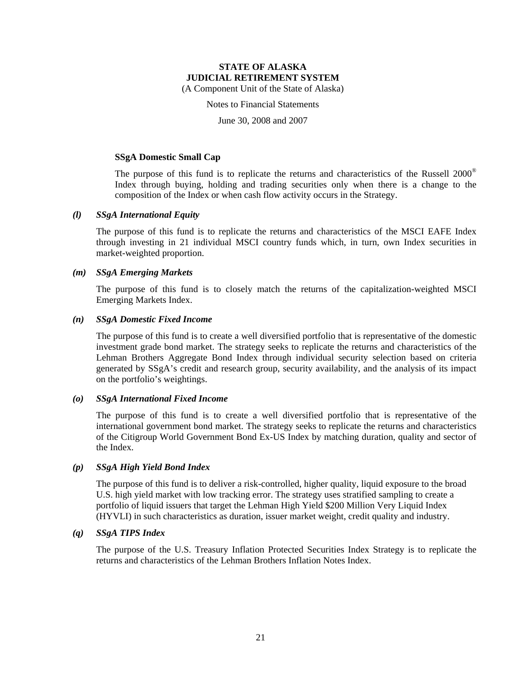(A Component Unit of the State of Alaska)

Notes to Financial Statements

June 30, 2008 and 2007

### **SSgA Domestic Small Cap**

The purpose of this fund is to replicate the returns and characteristics of the Russell  $2000^\circ$ Index through buying, holding and trading securities only when there is a change to the composition of the Index or when cash flow activity occurs in the Strategy.

### *(l) SSgA International Equity*

The purpose of this fund is to replicate the returns and characteristics of the MSCI EAFE Index through investing in 21 individual MSCI country funds which, in turn, own Index securities in market-weighted proportion.

### *(m) SSgA Emerging Markets*

The purpose of this fund is to closely match the returns of the capitalization-weighted MSCI Emerging Markets Index.

### *(n) SSgA Domestic Fixed Income*

The purpose of this fund is to create a well diversified portfolio that is representative of the domestic investment grade bond market. The strategy seeks to replicate the returns and characteristics of the Lehman Brothers Aggregate Bond Index through individual security selection based on criteria generated by SSgA's credit and research group, security availability, and the analysis of its impact on the portfolio's weightings.

### *(o) SSgA International Fixed Income*

The purpose of this fund is to create a well diversified portfolio that is representative of the international government bond market. The strategy seeks to replicate the returns and characteristics of the Citigroup World Government Bond Ex-US Index by matching duration, quality and sector of the Index.

### *(p) SSgA High Yield Bond Index*

The purpose of this fund is to deliver a risk-controlled, higher quality, liquid exposure to the broad U.S. high yield market with low tracking error. The strategy uses stratified sampling to create a portfolio of liquid issuers that target the Lehman High Yield \$200 Million Very Liquid Index (HYVLI) in such characteristics as duration, issuer market weight, credit quality and industry.

### *(q) SSgA TIPS Index*

The purpose of the U.S. Treasury Inflation Protected Securities Index Strategy is to replicate the returns and characteristics of the Lehman Brothers Inflation Notes Index.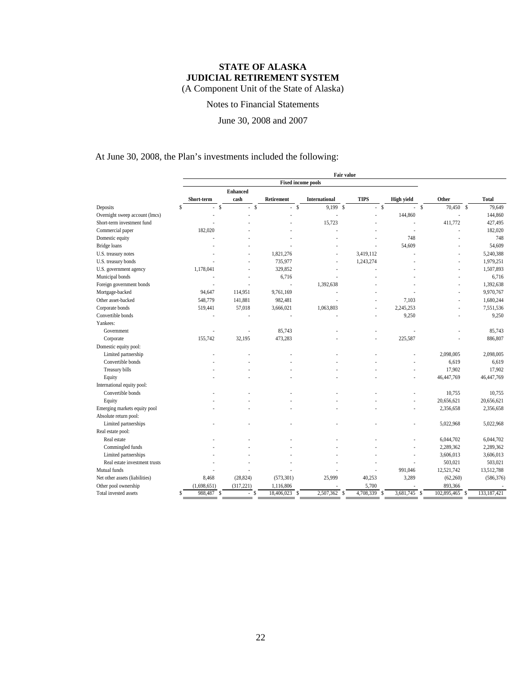Notes to Financial Statements

June 30, 2008 and 2007

At June 30, 2008, the Plan's investments included the following:

|                                |                               |                         |                           |                      | Fair value                 |                   |                                   |              |
|--------------------------------|-------------------------------|-------------------------|---------------------------|----------------------|----------------------------|-------------------|-----------------------------------|--------------|
|                                |                               |                         | <b>Fixed income pools</b> |                      |                            |                   |                                   |              |
|                                | Short-term                    | <b>Enhanced</b><br>cash | Retirement                | <b>International</b> | <b>TIPS</b>                | <b>High yield</b> | Other                             | <b>Total</b> |
| Deposits                       | Ŝ.<br><sup>\$</sup><br>÷.     | S<br>$\mathcal{L}$      | <sup>\$</sup><br>÷.       | $9.199$ \$           | $-$ \$                     |                   | $-$ s<br>$70,450$ \$              | 79.649       |
| Overnight sweep account (lmcs) |                               |                         |                           |                      |                            | 144,860           |                                   | 144,860      |
| Short-term investment fund     |                               |                         |                           | 15,723               |                            |                   | 411,772                           | 427,495      |
| Commercial paper               | 182,020                       |                         |                           |                      |                            |                   |                                   | 182,020      |
| Domestic equity                |                               |                         |                           |                      |                            | 748               |                                   | 748          |
| Bridge loans                   |                               |                         |                           |                      |                            | 54,609            |                                   | 54,609       |
| U.S. treasury notes            |                               |                         | 1,821,276                 |                      | 3,419,112                  |                   |                                   | 5,240,388    |
| U.S. treasury bonds            |                               |                         | 735,977                   |                      | 1,243,274                  |                   |                                   | 1,979,251    |
| U.S. government agency         | 1,178,041                     |                         | 329,852                   |                      |                            |                   |                                   | 1,507,893    |
|                                |                               |                         | 6,716                     |                      |                            |                   |                                   |              |
| Municipal bonds                |                               |                         |                           |                      |                            |                   |                                   | 6,716        |
| Foreign government bonds       |                               |                         | Î,                        | 1,392,638            |                            |                   |                                   | 1,392,638    |
| Mortgage-backed                | 94,647                        | 114,951                 | 9,761,169                 |                      |                            |                   |                                   | 9,970,767    |
| Other asset-backed             | 548,779                       | 141,881                 | 982,481                   |                      |                            | 7,103             |                                   | 1,680,244    |
| Corporate bonds                | 519,441                       | 57,018                  | 3,666,021                 | 1,063,803            |                            | 2,245,253         |                                   | 7,551,536    |
| Convertible bonds              | ä,                            |                         |                           |                      |                            | 9,250             | ×,                                | 9,250        |
| Yankees:                       |                               |                         |                           |                      |                            |                   |                                   |              |
| Government                     |                               |                         | 85,743                    |                      |                            |                   |                                   | 85,743       |
| Corporate                      | 155,742                       | 32,195                  | 473,283                   |                      |                            | 225,587           |                                   | 886,807      |
| Domestic equity pool:          |                               |                         |                           |                      |                            |                   |                                   |              |
| Limited partnership            |                               |                         |                           |                      |                            |                   | 2,098,005                         | 2,098,005    |
| Convertible bonds              |                               |                         |                           |                      |                            |                   | 6,619                             | 6,619        |
| Treasury bills                 |                               |                         |                           |                      |                            |                   | 17,902                            | 17,902       |
| Equity                         |                               |                         |                           |                      |                            |                   | 46,447,769                        | 46,447,769   |
| International equity pool:     |                               |                         |                           |                      |                            |                   |                                   |              |
| Convertible bonds              |                               |                         |                           |                      |                            |                   | 10,755                            | 10,755       |
| Equity                         |                               |                         |                           |                      |                            |                   | 20,656,621                        | 20,656,621   |
| Emerging markets equity pool   |                               |                         |                           |                      |                            |                   | 2,356,658                         | 2,356,658    |
| Absolute return pool:          |                               |                         |                           |                      |                            |                   |                                   |              |
| Limited partnerships           |                               |                         |                           |                      |                            |                   | 5,022,968                         | 5,022,968    |
| Real estate pool:              |                               |                         |                           |                      |                            |                   |                                   |              |
| Real estate                    |                               |                         |                           |                      |                            |                   | 6,044,702                         | 6,044,702    |
| Commingled funds               |                               |                         |                           |                      |                            |                   | 2,289,362                         | 2,289,362    |
| Limited partnerships           |                               |                         |                           |                      |                            |                   | 3,606,013                         | 3,606,013    |
| Real estate investment trusts  |                               |                         |                           |                      |                            |                   | 503,021                           | 503,021      |
| Mutual funds                   |                               |                         |                           |                      |                            | 991,046           | 12,521,742                        | 13,512,788   |
| Net other assets (liabilities) | 8,468                         | (28, 824)               | (573, 301)                | 25,999               | 40,253                     | 3,289             | (62,260)                          | (586, 376)   |
| Other pool ownership           | (1,698,651)                   | (317, 221)              | 1,116,806                 |                      | 5,700                      |                   | 893,366                           |              |
| Total invested assets          | 988,487<br>Ś<br><sup>\$</sup> | <sup>\$</sup><br>ä,     | 18,406,023<br>\$          | 2,507,362            | 4,708,339<br><sup>\$</sup> | 3.681.745<br>-S   | 102,895,465<br><sup>\$</sup><br>S | 133,187,421  |
|                                |                               |                         |                           |                      |                            |                   |                                   |              |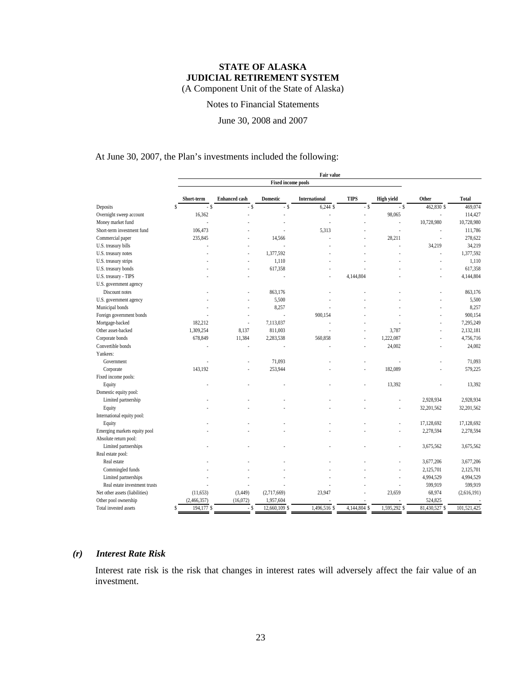Notes to Financial Statements

June 30, 2008 and 2007

### At June 30, 2007, the Plan's investments included the following:

|                                | Fair value         |                      |                           |                |                |                   |               |             |
|--------------------------------|--------------------|----------------------|---------------------------|----------------|----------------|-------------------|---------------|-------------|
|                                |                    |                      | <b>Fixed income pools</b> |                |                |                   |               |             |
|                                | Short-term         | <b>Enhanced cash</b> | <b>Domestic</b>           | International  | <b>TIPS</b>    | <b>High yield</b> | Other         | Total       |
| Deposits                       | Ŝ<br>$-$ \$        | $-$ \$               | $-$ \$                    | $6,244$ \$     | $-$ \$         | $-$ \$            | 462,830 \$    | 469,074     |
| Overnight sweep account        | 16,362             |                      |                           |                |                | 98,065            |               | 114,427     |
| Money market fund              | Î.                 |                      |                           | Î.             |                | l,                | 10,728,980    | 10,728,980  |
| Short-term investment fund     | 106,473            |                      |                           | 5,313          |                | l,                |               | 111,786     |
| Commercial paper               | 235,845            |                      | 14,566                    |                |                | 28,211            | J,            | 278,622     |
| U.S. treasury bills            |                    |                      |                           |                |                |                   | 34,219        | 34,219      |
| U.S. treasury notes            |                    | ×.                   | 1,377,592                 |                |                |                   | ä,            | 1,377,592   |
| U.S. treasury strips           |                    | ٠                    | 1,110                     |                |                |                   | ä,            | 1,110       |
| U.S. treasury bonds            |                    |                      | 617,358                   |                |                |                   |               | 617,358     |
| U.S. treasury - TIPS           |                    |                      |                           |                | 4,144,804      |                   |               | 4,144,804   |
| U.S. government agency         |                    |                      |                           |                |                |                   |               |             |
| Discount notes                 |                    |                      | 863,176                   |                |                |                   |               | 863,176     |
| U.S. government agency         |                    |                      | 5,500                     |                |                |                   |               | 5,500       |
| Municipal bonds                |                    |                      | 8,257                     |                |                |                   |               | 8,257       |
| Foreign government bonds       |                    |                      |                           | 900,154        |                |                   |               | 900,154     |
| Mortgage-backed                | 182,212            | ×.                   | 7,113,037                 |                |                |                   |               | 7,295,249   |
| Other asset-backed             | 1,309,254          | 8,137                | 811,003                   |                |                | 3,787             |               | 2,132,181   |
| Corporate bonds                | 678,849            | 11,384               | 2,283,538                 | 560,858        | ä,             | 1,222,087         |               | 4,756,716   |
| Convertible bonds              |                    |                      |                           |                |                | 24,002            |               | 24,002      |
| Yankees:                       |                    |                      |                           |                |                |                   |               |             |
| Government                     | ä,                 |                      | 71,093                    |                |                |                   |               | 71,093      |
| Corporate                      | 143,192            |                      | 253,944                   |                |                | 182,089           |               | 579,225     |
| Fixed income pools:            |                    |                      |                           |                |                |                   |               |             |
| Equity                         |                    |                      |                           |                |                | 13,392            |               | 13,392      |
| Domestic equity pool:          |                    |                      |                           |                |                |                   |               |             |
| Limited partnership            |                    |                      |                           |                |                |                   | 2,928,934     | 2,928,934   |
| Equity                         |                    |                      |                           |                |                | ä,                | 32,201,562    | 32,201,562  |
| International equity pool:     |                    |                      |                           |                |                |                   |               |             |
| Equity                         |                    |                      |                           |                |                |                   | 17,128,692    | 17,128,692  |
| Emerging markets equity pool   |                    |                      |                           |                |                | ä,                | 2,278,594     | 2,278,594   |
| Absolute return pool:          |                    |                      |                           |                |                |                   |               |             |
| Limited partnerships           |                    |                      |                           |                |                |                   | 3,675,562     | 3,675,562   |
| Real estate pool:              |                    |                      |                           |                |                |                   |               |             |
| Real estate                    |                    |                      |                           |                |                |                   | 3,677,206     | 3,677,206   |
| Commingled funds               |                    |                      |                           |                |                |                   | 2,125,701     | 2,125,701   |
| Limited partnerships           |                    |                      |                           |                |                |                   | 4,994,529     | 4,994,529   |
| Real estate investment trusts  |                    |                      |                           |                |                |                   | 599,919       | 599,919     |
| Net other assets (liabilities) | (11,653)           | (3, 449)             | (2,717,669)               | 23,947         |                | 23,659            | 68,974        | (2,616,191) |
| Other pool ownership           | (2,466,357)        | (16,072)             | 1,957,604                 |                |                |                   | 524,825       |             |
| Total invested assets          | $194,177$ \$<br>\$ | $-$ \$               | 12,660,109 \$             | $1,496,516$ \$ | $4,144,804$ \$ | $1,595,292$ \$    | 81,430,527 \$ | 101,521,425 |
|                                |                    |                      |                           |                |                |                   |               |             |

### *(r) Interest Rate Risk*

Interest rate risk is the risk that changes in interest rates will adversely affect the fair value of an investment.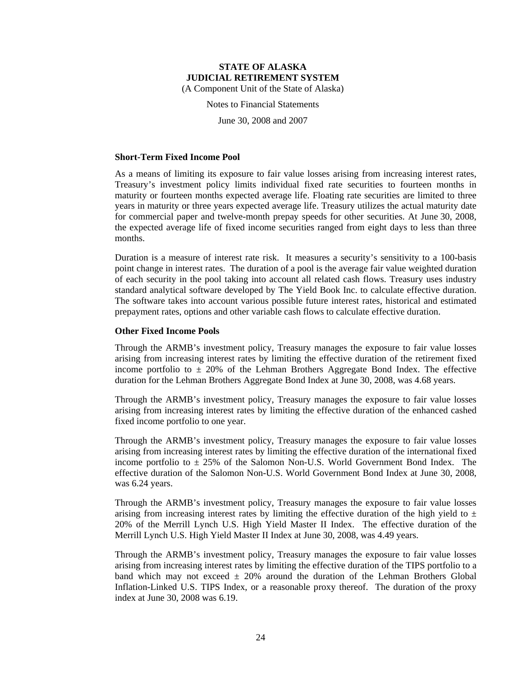(A Component Unit of the State of Alaska)

Notes to Financial Statements

June 30, 2008 and 2007

### **Short-Term Fixed Income Pool**

As a means of limiting its exposure to fair value losses arising from increasing interest rates, Treasury's investment policy limits individual fixed rate securities to fourteen months in maturity or fourteen months expected average life. Floating rate securities are limited to three years in maturity or three years expected average life. Treasury utilizes the actual maturity date for commercial paper and twelve-month prepay speeds for other securities. At June 30, 2008, the expected average life of fixed income securities ranged from eight days to less than three months.

Duration is a measure of interest rate risk. It measures a security's sensitivity to a 100-basis point change in interest rates. The duration of a pool is the average fair value weighted duration of each security in the pool taking into account all related cash flows. Treasury uses industry standard analytical software developed by The Yield Book Inc. to calculate effective duration. The software takes into account various possible future interest rates, historical and estimated prepayment rates, options and other variable cash flows to calculate effective duration.

### **Other Fixed Income Pools**

Through the ARMB's investment policy, Treasury manages the exposure to fair value losses arising from increasing interest rates by limiting the effective duration of the retirement fixed income portfolio to  $\pm$  20% of the Lehman Brothers Aggregate Bond Index. The effective duration for the Lehman Brothers Aggregate Bond Index at June 30, 2008, was 4.68 years.

Through the ARMB's investment policy, Treasury manages the exposure to fair value losses arising from increasing interest rates by limiting the effective duration of the enhanced cashed fixed income portfolio to one year.

Through the ARMB's investment policy, Treasury manages the exposure to fair value losses arising from increasing interest rates by limiting the effective duration of the international fixed income portfolio to  $\pm 25\%$  of the Salomon Non-U.S. World Government Bond Index. The effective duration of the Salomon Non-U.S. World Government Bond Index at June 30, 2008, was 6.24 years.

Through the ARMB's investment policy, Treasury manages the exposure to fair value losses arising from increasing interest rates by limiting the effective duration of the high yield to  $\pm$ 20% of the Merrill Lynch U.S. High Yield Master II Index. The effective duration of the Merrill Lynch U.S. High Yield Master II Index at June 30, 2008, was 4.49 years.

Through the ARMB's investment policy, Treasury manages the exposure to fair value losses arising from increasing interest rates by limiting the effective duration of the TIPS portfolio to a band which may not exceed  $\pm$  20% around the duration of the Lehman Brothers Global Inflation-Linked U.S. TIPS Index, or a reasonable proxy thereof. The duration of the proxy index at June 30, 2008 was 6.19.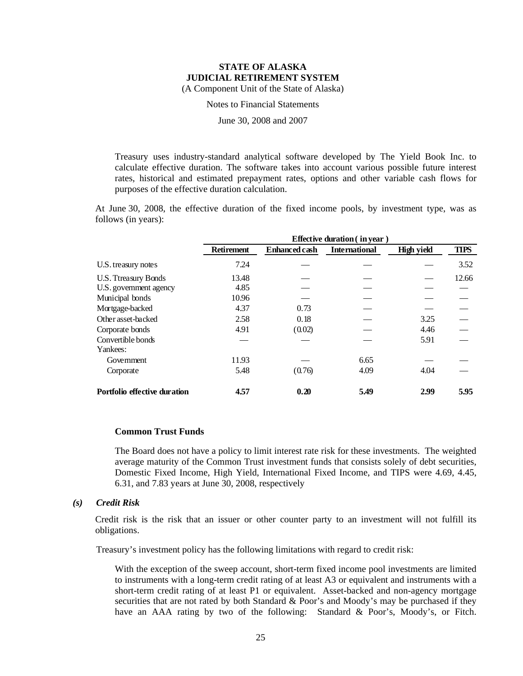Notes to Financial Statements

June 30, 2008 and 2007

Treasury uses industry-standard analytical software developed by The Yield Book Inc. to calculate effective duration. The software takes into account various possible future interest rates, historical and estimated prepayment rates, options and other variable cash flows for purposes of the effective duration calculation.

At June 30, 2008, the effective duration of the fixed income pools, by investment type, was as follows (in years):

|                                     | Effective duration (in year) |                      |                      |                   |             |  |  |  |  |  |
|-------------------------------------|------------------------------|----------------------|----------------------|-------------------|-------------|--|--|--|--|--|
|                                     | <b>Retirement</b>            | <b>Enhanced cash</b> | <b>International</b> | <b>High yield</b> | <b>TIPS</b> |  |  |  |  |  |
| U.S. treasury notes                 | 7.24                         |                      |                      |                   | 3.52        |  |  |  |  |  |
| U.S. Ttreasury Bonds                | 13.48                        |                      |                      |                   | 12.66       |  |  |  |  |  |
| U.S. government agency              | 4.85                         |                      |                      |                   |             |  |  |  |  |  |
| Municipal bonds                     | 10.96                        |                      |                      |                   |             |  |  |  |  |  |
| Mortgage-backed                     | 4.37                         | 0.73                 |                      |                   |             |  |  |  |  |  |
| Other asset-backed                  | 2.58                         | 0.18                 |                      | 3.25              |             |  |  |  |  |  |
| Corporate bonds                     | 4.91                         | (0.02)               |                      | 4.46              |             |  |  |  |  |  |
| Convertible bonds                   |                              |                      |                      | 5.91              |             |  |  |  |  |  |
| Yankees:                            |                              |                      |                      |                   |             |  |  |  |  |  |
| Government                          | 11.93                        |                      | 6.65                 |                   |             |  |  |  |  |  |
| Corporate                           | 5.48                         | (0.76)               | 4.09                 | 4.04              |             |  |  |  |  |  |
| <b>Portfolio effective duration</b> | 4.57                         | 0.20                 | 5.49                 | 2.99              | 5.95        |  |  |  |  |  |

### **Common Trust Funds**

The Board does not have a policy to limit interest rate risk for these investments. The weighted average maturity of the Common Trust investment funds that consists solely of debt securities, Domestic Fixed Income, High Yield, International Fixed Income, and TIPS were 4.69, 4.45, 6.31, and 7.83 years at June 30, 2008, respectively

#### *(s) Credit Risk*

Credit risk is the risk that an issuer or other counter party to an investment will not fulfill its obligations.

Treasury's investment policy has the following limitations with regard to credit risk:

With the exception of the sweep account, short-term fixed income pool investments are limited to instruments with a long-term credit rating of at least A3 or equivalent and instruments with a short-term credit rating of at least P1 or equivalent. Asset-backed and non-agency mortgage securities that are not rated by both Standard & Poor's and Moody's may be purchased if they have an AAA rating by two of the following: Standard & Poor's, Moody's, or Fitch.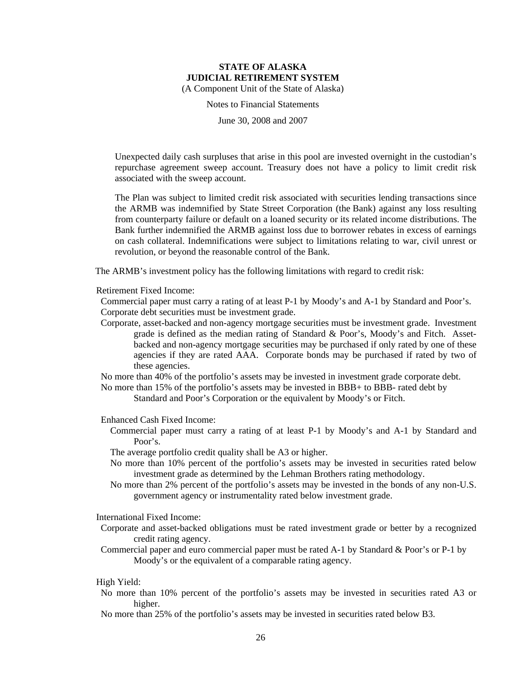Notes to Financial Statements

June 30, 2008 and 2007

Unexpected daily cash surpluses that arise in this pool are invested overnight in the custodian's repurchase agreement sweep account. Treasury does not have a policy to limit credit risk associated with the sweep account.

The Plan was subject to limited credit risk associated with securities lending transactions since the ARMB was indemnified by State Street Corporation (the Bank) against any loss resulting from counterparty failure or default on a loaned security or its related income distributions. The Bank further indemnified the ARMB against loss due to borrower rebates in excess of earnings on cash collateral. Indemnifications were subject to limitations relating to war, civil unrest or revolution, or beyond the reasonable control of the Bank.

The ARMB's investment policy has the following limitations with regard to credit risk:

Retirement Fixed Income:

Commercial paper must carry a rating of at least P-1 by Moody's and A-1 by Standard and Poor's. Corporate debt securities must be investment grade.

Corporate, asset-backed and non-agency mortgage securities must be investment grade. Investment grade is defined as the median rating of Standard & Poor's, Moody's and Fitch. Assetbacked and non-agency mortgage securities may be purchased if only rated by one of these agencies if they are rated AAA. Corporate bonds may be purchased if rated by two of these agencies.

No more than 40% of the portfolio's assets may be invested in investment grade corporate debt.

No more than 15% of the portfolio's assets may be invested in BBB+ to BBB- rated debt by

Standard and Poor's Corporation or the equivalent by Moody's or Fitch.

Enhanced Cash Fixed Income:

Commercial paper must carry a rating of at least P-1 by Moody's and A-1 by Standard and Poor's.

The average portfolio credit quality shall be A3 or higher.

- No more than 10% percent of the portfolio's assets may be invested in securities rated below investment grade as determined by the Lehman Brothers rating methodology.
- No more than 2% percent of the portfolio's assets may be invested in the bonds of any non-U.S. government agency or instrumentality rated below investment grade.

International Fixed Income:

Corporate and asset-backed obligations must be rated investment grade or better by a recognized credit rating agency.

Commercial paper and euro commercial paper must be rated A-1 by Standard & Poor's or P-1 by Moody's or the equivalent of a comparable rating agency.

#### High Yield:

No more than 10% percent of the portfolio's assets may be invested in securities rated A3 or higher.

No more than 25% of the portfolio's assets may be invested in securities rated below B3.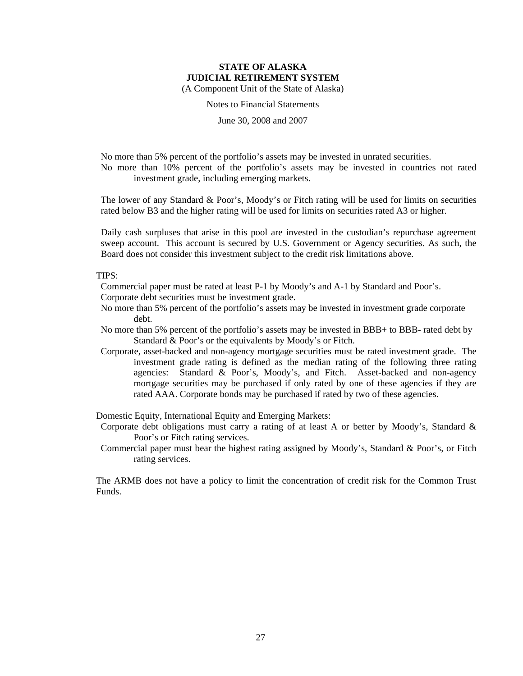Notes to Financial Statements

June 30, 2008 and 2007

No more than 5% percent of the portfolio's assets may be invested in unrated securities. No more than 10% percent of the portfolio's assets may be invested in countries not rated investment grade, including emerging markets.

The lower of any Standard & Poor's, Moody's or Fitch rating will be used for limits on securities rated below B3 and the higher rating will be used for limits on securities rated A3 or higher.

Daily cash surpluses that arise in this pool are invested in the custodian's repurchase agreement sweep account. This account is secured by U.S. Government or Agency securities. As such, the Board does not consider this investment subject to the credit risk limitations above.

TIPS:

Commercial paper must be rated at least P-1 by Moody's and A-1 by Standard and Poor's.

Corporate debt securities must be investment grade.

- No more than 5% percent of the portfolio's assets may be invested in investment grade corporate debt.
- No more than 5% percent of the portfolio's assets may be invested in BBB+ to BBB- rated debt by Standard & Poor's or the equivalents by Moody's or Fitch.
- Corporate, asset-backed and non-agency mortgage securities must be rated investment grade. The investment grade rating is defined as the median rating of the following three rating agencies: Standard & Poor's, Moody's, and Fitch. Asset-backed and non-agency mortgage securities may be purchased if only rated by one of these agencies if they are rated AAA. Corporate bonds may be purchased if rated by two of these agencies.

Domestic Equity, International Equity and Emerging Markets:

- Corporate debt obligations must carry a rating of at least A or better by Moody's, Standard & Poor's or Fitch rating services.
- Commercial paper must bear the highest rating assigned by Moody's, Standard & Poor's, or Fitch rating services.

The ARMB does not have a policy to limit the concentration of credit risk for the Common Trust Funds.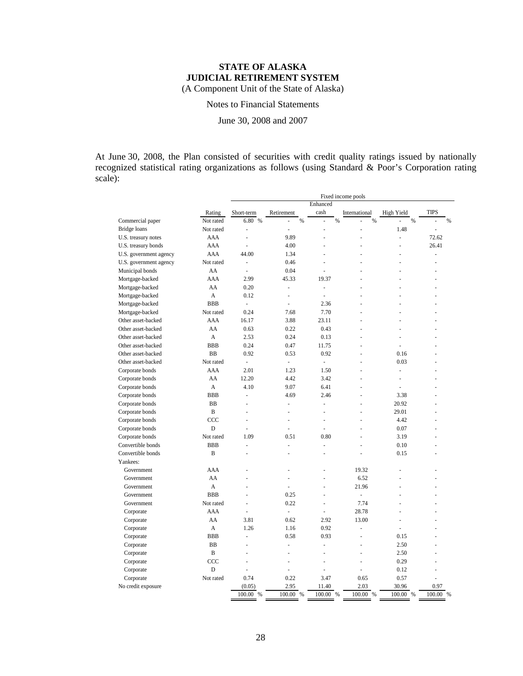Notes to Financial Statements

June 30, 2008 and 2007

At June 30, 2008, the Plan consisted of securities with credit quality ratings issued by nationally recognized statistical rating organizations as follows (using Standard & Poor's Corporation rating scale):

|                                     |                          | Fixed income pools |                      |               |               |               |            |                |   |
|-------------------------------------|--------------------------|--------------------|----------------------|---------------|---------------|---------------|------------|----------------|---|
|                                     |                          |                    |                      |               | Enhanced      |               |            |                |   |
|                                     | Rating<br>Short-term     |                    | Retirement           |               | cash          | International | High Yield | <b>TIPS</b>    |   |
| Not rated<br>Commercial paper       |                          | 6.80 %             |                      | $\frac{0}{6}$ |               | $\%$<br>$\%$  | $\%$       |                | % |
| Bridge loans<br>Not rated           | ÷,                       |                    | ä,                   |               | L             | Ē,            | 1.48       | $\overline{a}$ |   |
| U.S. treasury notes                 | AAA<br>L.                |                    | 9.89                 |               | L.            | ÷.            | L.         | 72.62          |   |
| AAA<br>U.S. treasury bonds          | $\overline{a}$           |                    | 4.00                 |               | L.            |               | ż          | 26.41          |   |
| U.S. government agency              | AAA                      | 44.00              | 1.34                 |               |               |               |            | $\overline{a}$ |   |
| U.S. government agency<br>Not rated |                          | ä,                 | 0.46                 |               |               |               |            |                |   |
| Municipal bonds                     | AA<br>$\overline{a}$     |                    | 0.04                 |               | L,            |               |            |                |   |
| Mortgage-backed<br>AAA              |                          | 2.99               | 45.33                |               | 19.37         |               |            |                |   |
| Mortgage-backed                     | AA                       | 0.20               | ÷,                   |               | L,            |               |            |                |   |
| Mortgage-backed                     | A                        | 0.12               | ÷,                   |               | L,            | L.            |            |                |   |
| <b>BBB</b><br>Mortgage-backed       | $\overline{\phantom{a}}$ |                    | ł,                   |               | 2.36          |               |            |                |   |
| Mortgage-backed<br>Not rated        |                          | 0.24               | 7.68                 |               | 7.70          |               |            |                |   |
| Other asset-backed                  | AAA                      | 16.17              | 3.88                 |               | 23.11         | L.            | ä,         |                |   |
| Other asset-backed                  | AA                       | 0.63               | 0.22                 |               | 0.43          | ÷.            | ä,         |                |   |
| Other asset-backed                  | A                        | 2.53               | 0.24                 |               | 0.13          |               |            |                |   |
| Other asset-backed<br><b>BBB</b>    |                          | 0.24               | 0.47                 |               | 11.75         |               | l,         |                |   |
| <b>BB</b><br>Other asset-backed     |                          | 0.92               | 0.53                 |               | 0.92          |               | 0.16       |                |   |
| Not rated<br>Other asset-backed     | $\omega$                 |                    | $\omega$             |               | $\frac{1}{2}$ |               | 0.03       |                |   |
| Corporate bonds                     | AAA                      | 2.01               | 1.23                 |               | 1.50          |               | L.         |                |   |
| Corporate bonds                     | AA                       | 12.20              | 4.42                 |               | 3.42          |               | í,         |                |   |
| Corporate bonds                     | A                        | 4.10               | 9.07                 |               | 6.41          | L.            | ÷,         |                |   |
| <b>BBB</b><br>Corporate bonds       | ä,                       |                    | 4.69                 |               | 2.46          | L.            | 3.38       |                |   |
| BB<br>Corporate bonds               |                          |                    |                      |               | L             |               | 20.92      |                |   |
| Corporate bonds                     | B                        |                    | ٠                    |               | ä,            |               | 29.01      |                |   |
| Corporate bonds<br>CCC              | L,                       |                    | $\ddot{\phantom{1}}$ |               | ä,            |               | 4.42       |                |   |
| Corporate bonds                     | D<br>ä,                  |                    | ÷,                   |               | ä,            | ÷.            | 0.07       |                |   |
| Not rated<br>Corporate bonds        |                          | 1.09               | 0.51                 |               | 0.80          |               | 3.19       |                |   |
| <b>BBB</b><br>Convertible bonds     | ÷,                       |                    | ł,                   |               | L,            |               | 0.10       |                |   |
| Convertible bonds                   | B<br>$\overline{a}$      |                    |                      |               |               |               | 0.15       |                |   |
| Yankees:                            |                          |                    |                      |               |               |               |            |                |   |
| AAA<br>Government                   |                          |                    |                      |               |               | 19.32         |            |                |   |
| Government                          | AA                       |                    |                      |               |               | 6.52          |            |                |   |
| Government                          | A<br>ż                   |                    | ÷,                   |               | L,            | 21.96         | ż          |                |   |
| <b>BBB</b><br>Government            |                          |                    | 0.25                 |               |               | L,            |            |                |   |
| Government<br>Not rated             |                          | L.                 | 0.22                 |               | L,            | 7.74          |            |                |   |
| Corporate                           | AAA                      |                    | ÷,                   |               |               | 28.78         |            |                |   |
| Corporate                           | AA                       | 3.81               | 0.62                 |               | 2.92          | 13.00         | ÷.         |                |   |
| Corporate                           | A                        | 1.26               | 1.16                 |               | 0.92          | ÷.            | ä,         |                |   |
| <b>BBB</b><br>Corporate             | L                        |                    | 0.58                 |               | 0.93          | Ē,            | 0.15       |                |   |
| BB<br>Corporate                     | L                        |                    | ÷,                   |               | L             | l,            | 2.50       |                |   |
| Corporate                           | B                        |                    |                      |               |               |               | 2.50       |                |   |
| CCC<br>Corporate                    | L                        |                    | ÷,                   |               | L,            |               | 0.29       |                |   |
| Corporate                           | D<br>l,                  |                    | L.                   |               | L,            | L.            | 0.12       |                |   |
| Not rated<br>Corporate              |                          | 0.74               | 0.22                 |               | 3.47          | 0.65          | 0.57       |                |   |
| No credit exposure                  |                          | (0.05)             | 2.95                 |               | 11.40         | 2.03          | 30.96      | 0.97           |   |
|                                     |                          | 100.00 %           | 100.00 %             |               | 100.00 %      | 100.00 %      | 100.00 %   | 100.00 %       |   |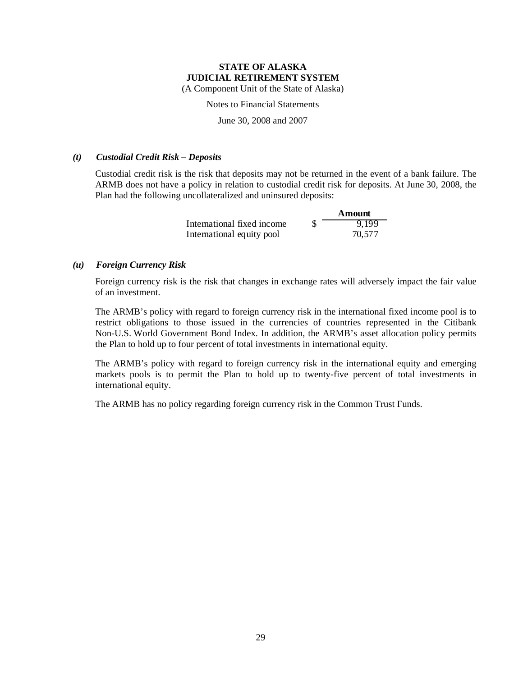Notes to Financial Statements

June 30, 2008 and 2007

### *(t) Custodial Credit Risk – Deposits*

Custodial credit risk is the risk that deposits may not be returned in the event of a bank failure. The ARMB does not have a policy in relation to custodial credit risk for deposits. At June 30, 2008, the Plan had the following uncollateralized and uninsured deposits:

|                            | Amount |
|----------------------------|--------|
| International fixed income | 9,199  |
| International equity pool  | 70,577 |

### *(u) Foreign Currency Risk*

Foreign currency risk is the risk that changes in exchange rates will adversely impact the fair value of an investment.

The ARMB's policy with regard to foreign currency risk in the international fixed income pool is to restrict obligations to those issued in the currencies of countries represented in the Citibank Non-U.S. World Government Bond Index. In addition, the ARMB's asset allocation policy permits the Plan to hold up to four percent of total investments in international equity.

The ARMB's policy with regard to foreign currency risk in the international equity and emerging markets pools is to permit the Plan to hold up to twenty-five percent of total investments in international equity.

The ARMB has no policy regarding foreign currency risk in the Common Trust Funds.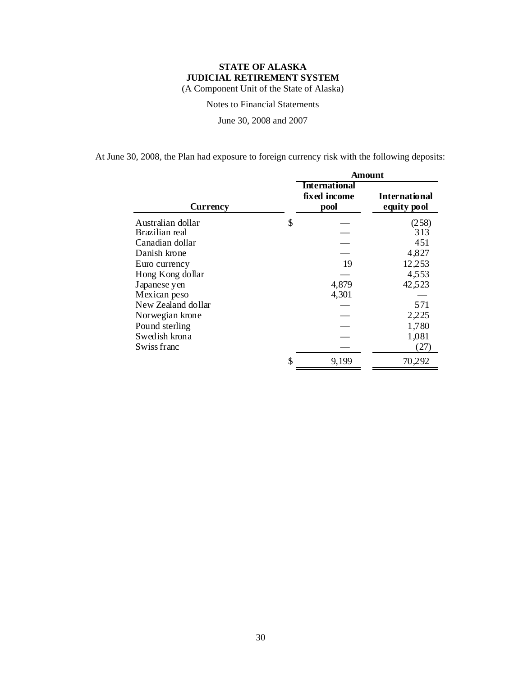Notes to Financial Statements

June 30, 2008 and 2007

At June 30, 2008, the Plan had exposure to foreign currency risk with the following deposits:

|                    | Amount |                                              |                                     |  |  |  |
|--------------------|--------|----------------------------------------------|-------------------------------------|--|--|--|
| Currency           |        | <b>International</b><br>fixed income<br>pool | <b>International</b><br>equity pool |  |  |  |
| Australian dollar  | \$     |                                              | (258)                               |  |  |  |
| Brazilian real     |        |                                              | 313                                 |  |  |  |
| Canadian dollar    |        |                                              | 451                                 |  |  |  |
| Danish krone       |        |                                              | 4,827                               |  |  |  |
| Euro currency      |        | 19                                           | 12,253                              |  |  |  |
| Hong Kong dollar   |        |                                              | 4,553                               |  |  |  |
| Japanese yen       |        | 4,879                                        | 42,523                              |  |  |  |
| Mexican peso       |        | 4,301                                        |                                     |  |  |  |
| New Zealand dollar |        |                                              | 571                                 |  |  |  |
| Norwegian krone    |        |                                              | 2,225                               |  |  |  |
| Pound sterling     |        |                                              | 1,780                               |  |  |  |
| Swedish krona      |        |                                              | 1,081                               |  |  |  |
| Swiss franc        |        |                                              | (27)                                |  |  |  |
|                    | \$     | 9,199                                        | 70,292                              |  |  |  |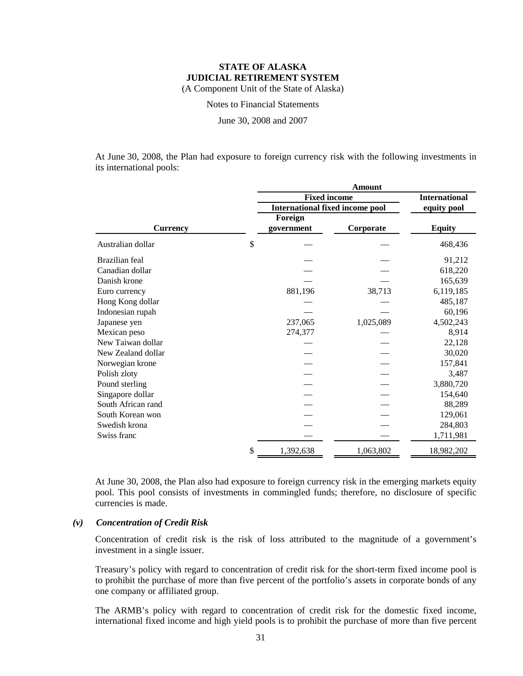Notes to Financial Statements

June 30, 2008 and 2007

At June 30, 2008, the Plan had exposure to foreign currency risk with the following investments in its international pools:

|                    | <b>Amount</b>                          |           |                      |  |  |  |
|--------------------|----------------------------------------|-----------|----------------------|--|--|--|
|                    | <b>Fixed income</b>                    |           | <b>International</b> |  |  |  |
|                    | <b>International fixed income pool</b> |           | equity pool          |  |  |  |
|                    | Foreign                                |           |                      |  |  |  |
| <b>Currency</b>    | government                             | Corporate | <b>Equity</b>        |  |  |  |
| Australian dollar  | \$                                     |           | 468,436              |  |  |  |
| Brazilian feal     |                                        |           | 91,212               |  |  |  |
| Canadian dollar    |                                        |           | 618,220              |  |  |  |
| Danish krone       |                                        |           | 165,639              |  |  |  |
| Euro currency      | 881,196                                | 38,713    | 6,119,185            |  |  |  |
| Hong Kong dollar   |                                        |           | 485,187              |  |  |  |
| Indonesian rupah   |                                        |           | 60,196               |  |  |  |
| Japanese yen       | 237,065                                | 1,025,089 | 4,502,243            |  |  |  |
| Mexican peso       | 274,377                                |           | 8,914                |  |  |  |
| New Taiwan dollar  |                                        |           | 22,128               |  |  |  |
| New Zealand dollar |                                        |           | 30,020               |  |  |  |
| Norwegian krone    |                                        |           | 157,841              |  |  |  |
| Polish zloty       |                                        |           | 3,487                |  |  |  |
| Pound sterling     |                                        |           | 3,880,720            |  |  |  |
| Singapore dollar   |                                        |           | 154,640              |  |  |  |
| South African rand |                                        |           | 88,289               |  |  |  |
| South Korean won   |                                        |           | 129,061              |  |  |  |
| Swedish krona      |                                        |           | 284,803              |  |  |  |
| Swiss franc        |                                        |           | 1,711,981            |  |  |  |
|                    | \$<br>1,392,638                        | 1,063,802 | 18,982,202           |  |  |  |

At June 30, 2008, the Plan also had exposure to foreign currency risk in the emerging markets equity pool. This pool consists of investments in commingled funds; therefore, no disclosure of specific currencies is made.

### *(v) Concentration of Credit Risk*

Concentration of credit risk is the risk of loss attributed to the magnitude of a government's investment in a single issuer.

Treasury's policy with regard to concentration of credit risk for the short-term fixed income pool is to prohibit the purchase of more than five percent of the portfolio's assets in corporate bonds of any one company or affiliated group.

The ARMB's policy with regard to concentration of credit risk for the domestic fixed income, international fixed income and high yield pools is to prohibit the purchase of more than five percent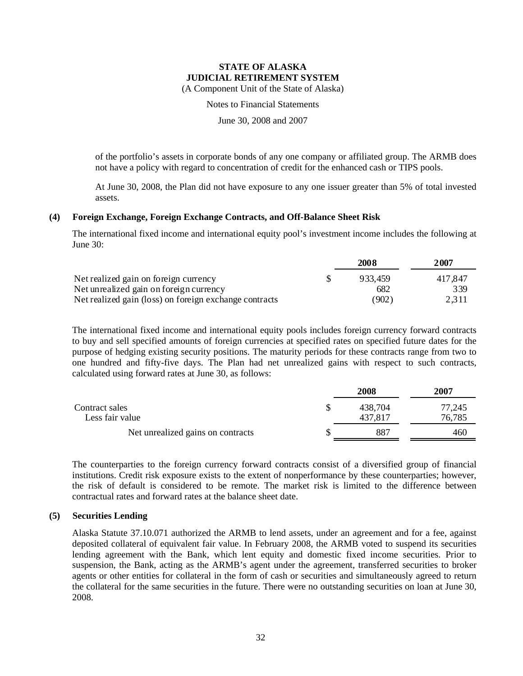(A Component Unit of the State of Alaska)

Notes to Financial Statements

June 30, 2008 and 2007

of the portfolio's assets in corporate bonds of any one company or affiliated group. The ARMB does not have a policy with regard to concentration of credit for the enhanced cash or TIPS pools.

At June 30, 2008, the Plan did not have exposure to any one issuer greater than 5% of total invested assets.

### **(4) Foreign Exchange, Foreign Exchange Contracts, and Off-Balance Sheet Risk**

The international fixed income and international equity pool's investment income includes the following at June 30:

|                                                        | 2008    | 2007    |
|--------------------------------------------------------|---------|---------|
| Net realized gain on foreign currency                  | 933.459 | 417.847 |
| Net unrealized gain on foreign currency                | 682     | 339     |
| Net realized gain (loss) on foreign exchange contracts | (902)   | 2,311   |

The international fixed income and international equity pools includes foreign currency forward contracts to buy and sell specified amounts of foreign currencies at specified rates on specified future dates for the purpose of hedging existing security positions. The maturity periods for these contracts range from two to one hundred and fifty-five days. The Plan had net unrealized gains with respect to such contracts, calculated using forward rates at June 30, as follows:

|                                   | 2008    | 2007   |
|-----------------------------------|---------|--------|
| Contract sales                    | 438,704 | 77,245 |
| Less fair value                   | 437.817 | 76,785 |
| Net unrealized gains on contracts | 887     | 460    |

The counterparties to the foreign currency forward contracts consist of a diversified group of financial institutions. Credit risk exposure exists to the extent of nonperformance by these counterparties; however, the risk of default is considered to be remote. The market risk is limited to the difference between contractual rates and forward rates at the balance sheet date.

### **(5) Securities Lending**

Alaska Statute 37.10.071 authorized the ARMB to lend assets, under an agreement and for a fee, against deposited collateral of equivalent fair value. In February 2008, the ARMB voted to suspend its securities lending agreement with the Bank, which lent equity and domestic fixed income securities. Prior to suspension, the Bank, acting as the ARMB's agent under the agreement, transferred securities to broker agents or other entities for collateral in the form of cash or securities and simultaneously agreed to return the collateral for the same securities in the future. There were no outstanding securities on loan at June 30, 2008.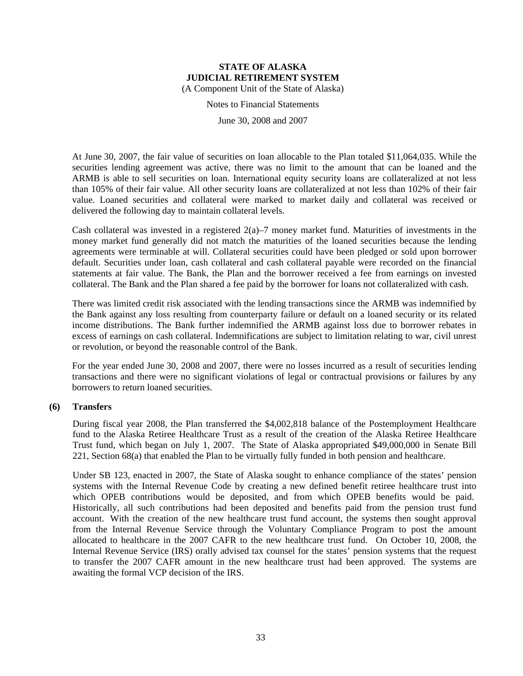Notes to Financial Statements

June 30, 2008 and 2007

At June 30, 2007, the fair value of securities on loan allocable to the Plan totaled \$11,064,035. While the securities lending agreement was active, there was no limit to the amount that can be loaned and the ARMB is able to sell securities on loan. International equity security loans are collateralized at not less than 105% of their fair value. All other security loans are collateralized at not less than 102% of their fair value. Loaned securities and collateral were marked to market daily and collateral was received or delivered the following day to maintain collateral levels.

Cash collateral was invested in a registered 2(a)–7 money market fund. Maturities of investments in the money market fund generally did not match the maturities of the loaned securities because the lending agreements were terminable at will. Collateral securities could have been pledged or sold upon borrower default. Securities under loan, cash collateral and cash collateral payable were recorded on the financial statements at fair value. The Bank, the Plan and the borrower received a fee from earnings on invested collateral. The Bank and the Plan shared a fee paid by the borrower for loans not collateralized with cash.

There was limited credit risk associated with the lending transactions since the ARMB was indemnified by the Bank against any loss resulting from counterparty failure or default on a loaned security or its related income distributions. The Bank further indemnified the ARMB against loss due to borrower rebates in excess of earnings on cash collateral. Indemnifications are subject to limitation relating to war, civil unrest or revolution, or beyond the reasonable control of the Bank.

For the year ended June 30, 2008 and 2007, there were no losses incurred as a result of securities lending transactions and there were no significant violations of legal or contractual provisions or failures by any borrowers to return loaned securities.

### **(6) Transfers**

During fiscal year 2008, the Plan transferred the \$4,002,818 balance of the Postemployment Healthcare fund to the Alaska Retiree Healthcare Trust as a result of the creation of the Alaska Retiree Healthcare Trust fund, which began on July 1, 2007. The State of Alaska appropriated \$49,000,000 in Senate Bill 221, Section 68(a) that enabled the Plan to be virtually fully funded in both pension and healthcare.

Under SB 123, enacted in 2007, the State of Alaska sought to enhance compliance of the states' pension systems with the Internal Revenue Code by creating a new defined benefit retiree healthcare trust into which OPEB contributions would be deposited, and from which OPEB benefits would be paid. Historically, all such contributions had been deposited and benefits paid from the pension trust fund account. With the creation of the new healthcare trust fund account, the systems then sought approval from the Internal Revenue Service through the Voluntary Compliance Program to post the amount allocated to healthcare in the 2007 CAFR to the new healthcare trust fund. On October 10, 2008, the Internal Revenue Service (IRS) orally advised tax counsel for the states' pension systems that the request to transfer the 2007 CAFR amount in the new healthcare trust had been approved. The systems are awaiting the formal VCP decision of the IRS.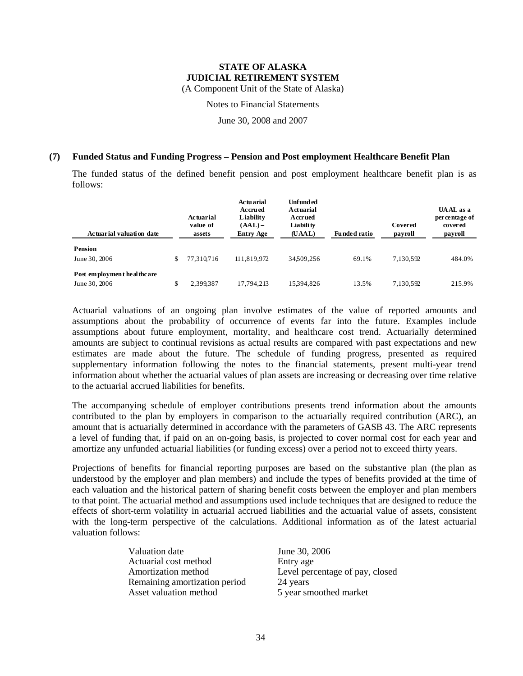(A Component Unit of the State of Alaska)

Notes to Financial Statements

June 30, 2008 and 2007

#### **(7) Funded Status and Funding Progress – Pension and Post employment Healthcare Benefit Plan**

The funded status of the defined benefit pension and post employment healthcare benefit plan is as follows:

| Actuarial valuation date                    | Actuarial<br>value of<br>assets | Actuarial<br>Accrued<br>Liability<br>$(AAL)$ –<br><b>Entry Age</b> | <b>Unfunded</b><br><b>Actuarial</b><br><b>Accrued</b><br>Liabili ty<br>(UAAL) | <b>Funded ratio</b> | <b>Covered</b><br>payroll | UAAL as a<br>per centage of<br>covered<br>payroll |
|---------------------------------------------|---------------------------------|--------------------------------------------------------------------|-------------------------------------------------------------------------------|---------------------|---------------------------|---------------------------------------------------|
| <b>Pension</b><br>June 30, 2006             | \$<br>77.310.716                | 111.819.972                                                        | 34509.256                                                                     | 69.1%               | 7.130.592                 | 484.0%                                            |
| Post employment healthcare<br>June 30, 2006 | \$<br>2,399,387                 | 17.794.213                                                         | 15394,826                                                                     | 13.5%               | 7,130,592                 | 215.9%                                            |

Actuarial valuations of an ongoing plan involve estimates of the value of reported amounts and assumptions about the probability of occurrence of events far into the future. Examples include assumptions about future employment, mortality, and healthcare cost trend. Actuarially determined amounts are subject to continual revisions as actual results are compared with past expectations and new estimates are made about the future. The schedule of funding progress, presented as required supplementary information following the notes to the financial statements, present multi-year trend information about whether the actuarial values of plan assets are increasing or decreasing over time relative to the actuarial accrued liabilities for benefits.

The accompanying schedule of employer contributions presents trend information about the amounts contributed to the plan by employers in comparison to the actuarially required contribution (ARC), an amount that is actuarially determined in accordance with the parameters of GASB 43. The ARC represents a level of funding that, if paid on an on-going basis, is projected to cover normal cost for each year and amortize any unfunded actuarial liabilities (or funding excess) over a period not to exceed thirty years.

Projections of benefits for financial reporting purposes are based on the substantive plan (the plan as understood by the employer and plan members) and include the types of benefits provided at the time of each valuation and the historical pattern of sharing benefit costs between the employer and plan members to that point. The actuarial method and assumptions used include techniques that are designed to reduce the effects of short-term volatility in actuarial accrued liabilities and the actuarial value of assets, consistent with the long-term perspective of the calculations. Additional information as of the latest actuarial valuation follows:

| Valuation date                | June 30, 2006                   |
|-------------------------------|---------------------------------|
| Actuarial cost method         | Entry age                       |
| Amortization method           | Level percentage of pay, closed |
| Remaining amortization period | 24 years                        |
| Asset valuation method        | 5 year smoothed market          |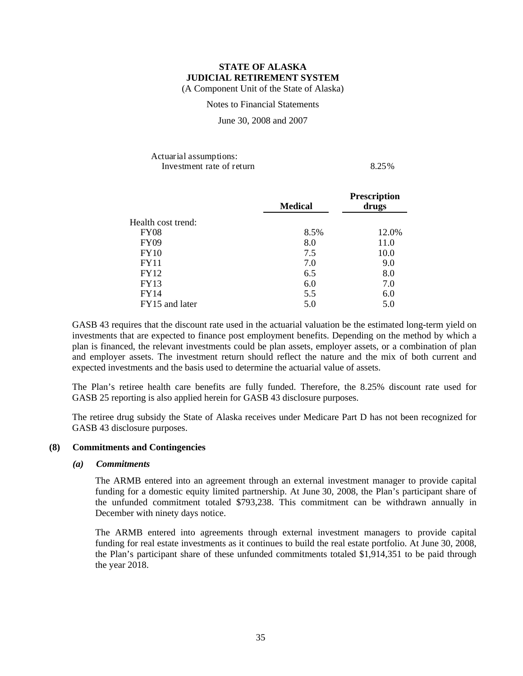Notes to Financial Statements

June 30, 2008 and 2007

### Actuarial assumptions: Investment rate of return 8.25%

|                    | <b>Medical</b> | <b>Prescription</b><br>drugs |  |
|--------------------|----------------|------------------------------|--|
| Health cost trend: |                |                              |  |
| <b>FY08</b>        | 8.5%           | 12.0%                        |  |
| <b>FY09</b>        | 8.0            | 11.0                         |  |
| FY10               | 7.5            | 10.0                         |  |
| <b>FY11</b>        | 7.0            | 9.0                          |  |
| <b>FY12</b>        | 6.5            | 8.0                          |  |
| <b>FY13</b>        | 6.0            | 7.0                          |  |
| <b>FY14</b>        | 5.5            | 6.0                          |  |
| FY15 and later     | 5.0            | 5.0                          |  |

GASB 43 requires that the discount rate used in the actuarial valuation be the estimated long-term yield on investments that are expected to finance post employment benefits. Depending on the method by which a plan is financed, the relevant investments could be plan assets, employer assets, or a combination of plan and employer assets. The investment return should reflect the nature and the mix of both current and expected investments and the basis used to determine the actuarial value of assets.

The Plan's retiree health care benefits are fully funded. Therefore, the 8.25% discount rate used for GASB 25 reporting is also applied herein for GASB 43 disclosure purposes.

The retiree drug subsidy the State of Alaska receives under Medicare Part D has not been recognized for GASB 43 disclosure purposes.

### **(8) Commitments and Contingencies**

### *(a) Commitments*

The ARMB entered into an agreement through an external investment manager to provide capital funding for a domestic equity limited partnership. At June 30, 2008, the Plan's participant share of the unfunded commitment totaled \$793,238. This commitment can be withdrawn annually in December with ninety days notice.

The ARMB entered into agreements through external investment managers to provide capital funding for real estate investments as it continues to build the real estate portfolio. At June 30, 2008, the Plan's participant share of these unfunded commitments totaled \$1,914,351 to be paid through the year 2018.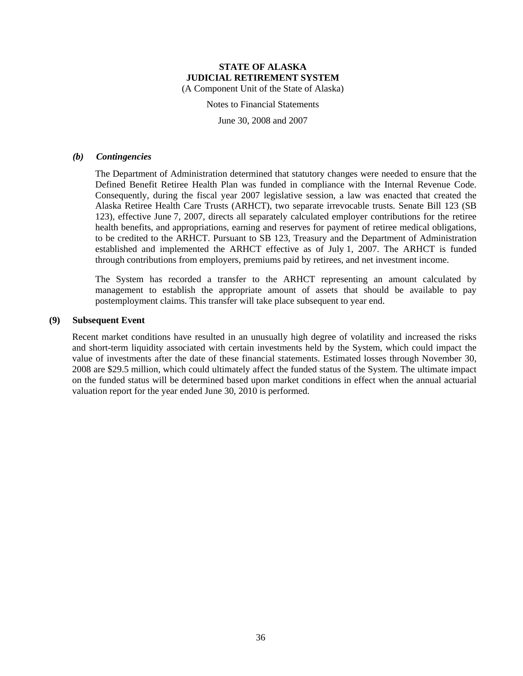Notes to Financial Statements

June 30, 2008 and 2007

#### *(b) Contingencies*

The Department of Administration determined that statutory changes were needed to ensure that the Defined Benefit Retiree Health Plan was funded in compliance with the Internal Revenue Code. Consequently, during the fiscal year 2007 legislative session, a law was enacted that created the Alaska Retiree Health Care Trusts (ARHCT), two separate irrevocable trusts. Senate Bill 123 (SB 123), effective June 7, 2007, directs all separately calculated employer contributions for the retiree health benefits, and appropriations, earning and reserves for payment of retiree medical obligations, to be credited to the ARHCT. Pursuant to SB 123, Treasury and the Department of Administration established and implemented the ARHCT effective as of July 1, 2007. The ARHCT is funded through contributions from employers, premiums paid by retirees, and net investment income.

The System has recorded a transfer to the ARHCT representing an amount calculated by management to establish the appropriate amount of assets that should be available to pay postemployment claims. This transfer will take place subsequent to year end.

### **(9) Subsequent Event**

Recent market conditions have resulted in an unusually high degree of volatility and increased the risks and short-term liquidity associated with certain investments held by the System, which could impact the value of investments after the date of these financial statements. Estimated losses through November 30, 2008 are \$29.5 million, which could ultimately affect the funded status of the System. The ultimate impact on the funded status will be determined based upon market conditions in effect when the annual actuarial valuation report for the year ended June 30, 2010 is performed.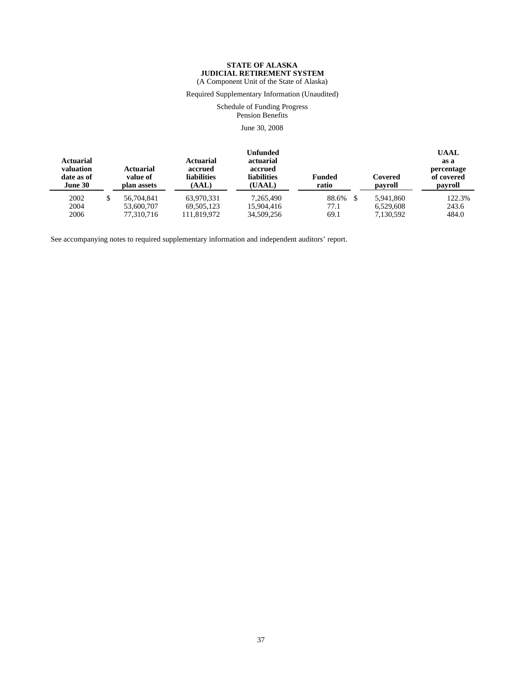Required Supplementary Information (Unaudited)

Schedule of Funding Progress Pension Benefits

June 30, 2008

| <b>Actuarial</b><br>valuation<br>date as of<br>June 30 | <b>Actuarial</b><br>Actuarial<br>accrued<br><b>liabilities</b><br>value of<br>(AAL)<br>plan assets |            | <b>Unfunded</b><br>actuarial<br>accrued<br><b>liabilities</b><br>(UAAL) | <b>Funded</b><br>ratio | Covered<br>payroll | <b>UAAL</b><br>as a<br>percentage<br>of covered<br>payroll |        |
|--------------------------------------------------------|----------------------------------------------------------------------------------------------------|------------|-------------------------------------------------------------------------|------------------------|--------------------|------------------------------------------------------------|--------|
| 2002                                                   | \$                                                                                                 | 56,704,841 | 63.970.331                                                              | 7.265.490              | 88.6%              | 5.941.860                                                  | 122.3% |
| 2004                                                   |                                                                                                    | 53,600,707 | 69.505.123                                                              | 15.904.416             | 77.1               | 6.529.608                                                  | 243.6  |
| 2006                                                   |                                                                                                    | 77,310,716 | 111,819,972                                                             | 34,509,256             | 69.1               | 7,130,592                                                  | 484.0  |

See accompanying notes to required supplementary information and independent auditors' report.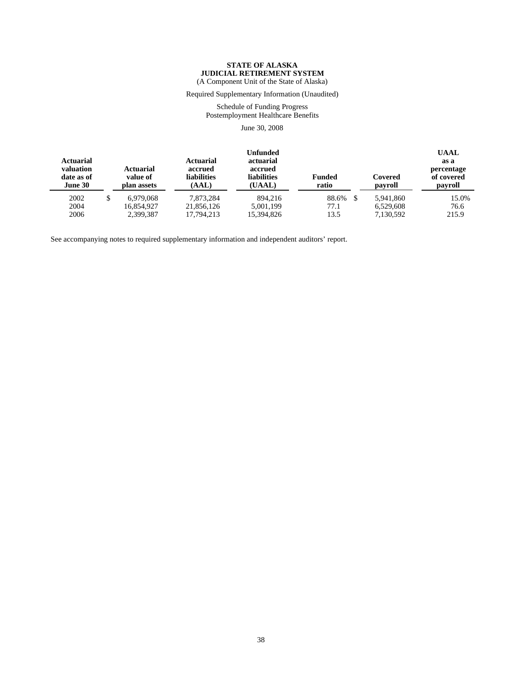Required Supplementary Information (Unaudited)

Schedule of Funding Progress Postemployment Healthcare Benefits

June 30, 2008

| <b>Actuarial</b><br>valuation<br>date as of<br>June 30 | <b>Actuarial</b><br><b>Actuarial</b><br>accrued<br><b>liabilities</b><br>value of<br>(AAL)<br>plan assets |            | Unfunded<br>actuarial<br>accrued<br><b>liabilities</b><br>(UAAL) | <b>Funded</b><br>ratio | Covered<br>payroll |       |  |
|--------------------------------------------------------|-----------------------------------------------------------------------------------------------------------|------------|------------------------------------------------------------------|------------------------|--------------------|-------|--|
| 2002                                                   | 6.979.068                                                                                                 | 7.873.284  | 894,216                                                          | 88.6%                  | 5.941.860          | 15.0% |  |
| 2004                                                   | 16.854.927                                                                                                | 21,856,126 | 5,001,199                                                        | 77.1                   | 6.529.608          | 76.6  |  |
| 2006                                                   | 2,399,387                                                                                                 | 17,794,213 | 15.394.826                                                       | 13.5                   | 7,130,592          | 215.9 |  |

See accompanying notes to required supplementary information and independent auditors' report.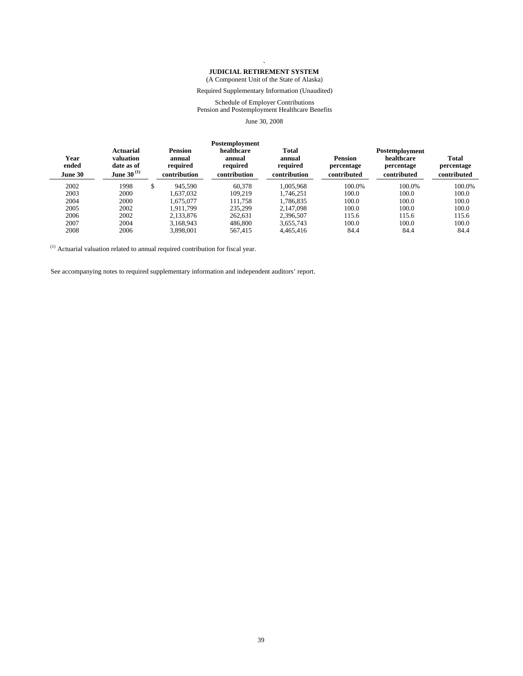#### **` JUDICIAL RETIREMENT SYSTEM**

(A Component Unit of the State of Alaska)

Required Supplementary Information (Unaudited)

#### Schedule of Employer Contributions Pension and Postemployment Healthcare Benefits

June 30, 2008

| Year<br>ended<br><b>June 30</b> | Actuarial<br>valuation<br>date as of<br>June 30 $^{(1)}$ | <b>Pension</b><br>annual<br>required<br>contribution | Postemployment<br>healthcare<br>annual<br>required<br>contribution | <b>Total</b><br>annual<br>required<br>contribution | <b>Pension</b><br>percentage<br>contributed | Postemployment<br>healthcare<br>percentage<br>contributed | Total<br>percentage<br>contributed |
|---------------------------------|----------------------------------------------------------|------------------------------------------------------|--------------------------------------------------------------------|----------------------------------------------------|---------------------------------------------|-----------------------------------------------------------|------------------------------------|
| 2002                            | 1998                                                     | \$<br>945.590                                        | 60.378                                                             | 1.005.968                                          | 100.0%                                      | 100.0%                                                    | 100.0%                             |
| 2003                            | 2000                                                     | 1.637.032                                            | 109.219                                                            | 1.746.251                                          | 100.0                                       | 100.0                                                     | 100.0                              |
| 2004                            | 2000                                                     | 1.675.077                                            | 111.758                                                            | 1.786.835                                          | 100.0                                       | 100.0                                                     | 100.0                              |
| 2005                            | 2002                                                     | 1.911.799                                            | 235.299                                                            | 2.147.098                                          | 100.0                                       | 100.0                                                     | 100.0                              |
| 2006                            | 2002                                                     | 2.133.876                                            | 262.631                                                            | 2,396,507                                          | 115.6                                       | 115.6                                                     | 115.6                              |
| 2007                            | 2004                                                     | 3.168.943                                            | 486.800                                                            | 3,655,743                                          | 100.0                                       | 100.0                                                     | 100.0                              |
| 2008                            | 2006                                                     | 3.898.001                                            | 567.415                                                            | 4.465.416                                          | 84.4                                        | 84.4                                                      | 84.4                               |

 $(1)$  Actuarial valuation related to annual required contribution for fiscal year.

See accompanying notes to required supplementary information and independent auditors' report.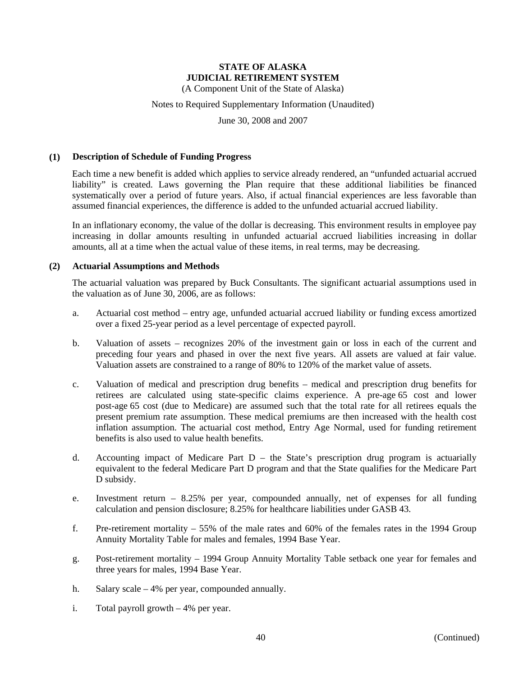(A Component Unit of the State of Alaska)

### Notes to Required Supplementary Information (Unaudited)

June 30, 2008 and 2007

### **(1) Description of Schedule of Funding Progress**

Each time a new benefit is added which applies to service already rendered, an "unfunded actuarial accrued liability" is created. Laws governing the Plan require that these additional liabilities be financed systematically over a period of future years. Also, if actual financial experiences are less favorable than assumed financial experiences, the difference is added to the unfunded actuarial accrued liability.

In an inflationary economy, the value of the dollar is decreasing. This environment results in employee pay increasing in dollar amounts resulting in unfunded actuarial accrued liabilities increasing in dollar amounts, all at a time when the actual value of these items, in real terms, may be decreasing.

### **(2) Actuarial Assumptions and Methods**

The actuarial valuation was prepared by Buck Consultants. The significant actuarial assumptions used in the valuation as of June 30, 2006, are as follows:

- a. Actuarial cost method entry age, unfunded actuarial accrued liability or funding excess amortized over a fixed 25-year period as a level percentage of expected payroll.
- b. Valuation of assets recognizes 20% of the investment gain or loss in each of the current and preceding four years and phased in over the next five years. All assets are valued at fair value. Valuation assets are constrained to a range of 80% to 120% of the market value of assets.
- c. Valuation of medical and prescription drug benefits medical and prescription drug benefits for retirees are calculated using state-specific claims experience. A pre-age 65 cost and lower post-age 65 cost (due to Medicare) are assumed such that the total rate for all retirees equals the present premium rate assumption. These medical premiums are then increased with the health cost inflation assumption. The actuarial cost method, Entry Age Normal, used for funding retirement benefits is also used to value health benefits.
- d. Accounting impact of Medicare Part D the State's prescription drug program is actuarially equivalent to the federal Medicare Part D program and that the State qualifies for the Medicare Part D subsidy.
- e. Investment return 8.25% per year, compounded annually, net of expenses for all funding calculation and pension disclosure; 8.25% for healthcare liabilities under GASB 43.
- f. Pre-retirement mortality 55% of the male rates and 60% of the females rates in the 1994 Group Annuity Mortality Table for males and females, 1994 Base Year.
- g. Post-retirement mortality 1994 Group Annuity Mortality Table setback one year for females and three years for males, 1994 Base Year.
- h. Salary scale 4% per year, compounded annually.
- i. Total payroll growth 4% per year.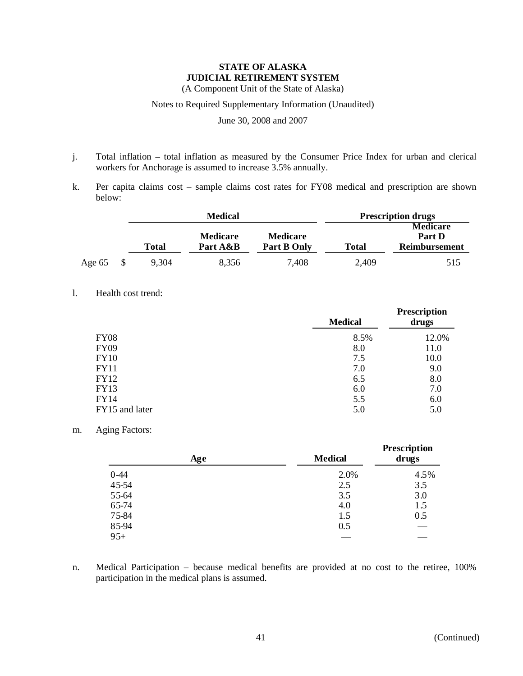(A Component Unit of the State of Alaska)

### Notes to Required Supplementary Information (Unaudited)

June 30, 2008 and 2007

- j. Total inflation total inflation as measured by the Consumer Price Index for urban and clerical workers for Anchorage is assumed to increase 3.5% annually.
- k. Per capita claims cost sample claims cost rates for FY08 medical and prescription are shown below:

|        | <b>Medical</b> |                 |                 | <b>Prescription drugs</b> |                           |  |
|--------|----------------|-----------------|-----------------|---------------------------|---------------------------|--|
|        |                | <b>Medicare</b> | <b>Medicare</b> |                           | <b>Medicare</b><br>Part D |  |
|        | Total          | Part A&B        | Part B Only     | <b>Total</b>              | <b>Reimbursement</b>      |  |
| Age 65 | 9,304          | 8,356           | 7,408           | 2,409                     | 515                       |  |

l. Health cost trend:

|                | <b>Medical</b> | <b>Prescription</b><br>drugs |  |
|----------------|----------------|------------------------------|--|
| <b>FY08</b>    | 8.5%           | 12.0%                        |  |
| <b>FY09</b>    | 8.0            | 11.0                         |  |
| <b>FY10</b>    | 7.5            | 10.0                         |  |
| <b>FY11</b>    | 7.0            | 9.0                          |  |
| FY12           | 6.5            | 8.0                          |  |
| <b>FY13</b>    | 6.0            | 7.0                          |  |
| <b>FY14</b>    | 5.5            | 6.0                          |  |
| FY15 and later | 5.0            | 5.0                          |  |

### m. Aging Factors:

| Age    | <b>Medical</b> | Prescription<br>drugs |
|--------|----------------|-----------------------|
| $0-44$ | 2.0%           | 4.5%                  |
| 45-54  | 2.5            | 3.5                   |
| 55-64  | 3.5            | 3.0                   |
| 65-74  | 4.0            | 1.5                   |
| 75-84  | 1.5            | 0.5                   |
| 85-94  | 0.5            |                       |
| $95+$  |                |                       |

n. Medical Participation – because medical benefits are provided at no cost to the retiree, 100% participation in the medical plans is assumed.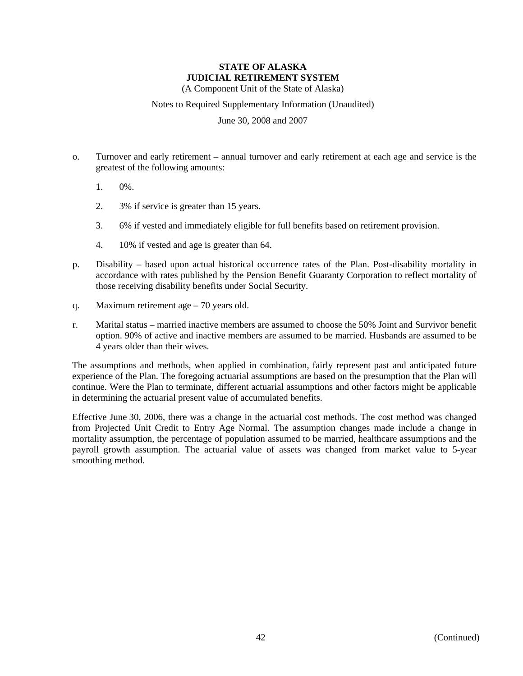(A Component Unit of the State of Alaska)

### Notes to Required Supplementary Information (Unaudited)

June 30, 2008 and 2007

- o. Turnover and early retirement annual turnover and early retirement at each age and service is the greatest of the following amounts:
	- 1. 0%.
	- 2. 3% if service is greater than 15 years.
	- 3. 6% if vested and immediately eligible for full benefits based on retirement provision.
	- 4. 10% if vested and age is greater than 64.
- p. Disability based upon actual historical occurrence rates of the Plan. Post-disability mortality in accordance with rates published by the Pension Benefit Guaranty Corporation to reflect mortality of those receiving disability benefits under Social Security.
- q. Maximum retirement age 70 years old.
- r. Marital status married inactive members are assumed to choose the 50% Joint and Survivor benefit option. 90% of active and inactive members are assumed to be married. Husbands are assumed to be 4 years older than their wives.

The assumptions and methods, when applied in combination, fairly represent past and anticipated future experience of the Plan. The foregoing actuarial assumptions are based on the presumption that the Plan will continue. Were the Plan to terminate, different actuarial assumptions and other factors might be applicable in determining the actuarial present value of accumulated benefits.

Effective June 30, 2006, there was a change in the actuarial cost methods. The cost method was changed from Projected Unit Credit to Entry Age Normal. The assumption changes made include a change in mortality assumption, the percentage of population assumed to be married, healthcare assumptions and the payroll growth assumption. The actuarial value of assets was changed from market value to 5-year smoothing method.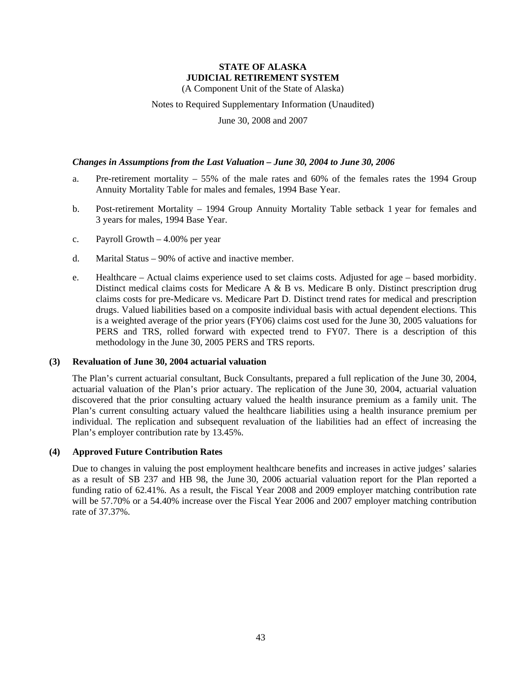(A Component Unit of the State of Alaska)

Notes to Required Supplementary Information (Unaudited)

June 30, 2008 and 2007

### *Changes in Assumptions from the Last Valuation – June 30, 2004 to June 30, 2006*

- a. Pre-retirement mortality 55% of the male rates and 60% of the females rates the 1994 Group Annuity Mortality Table for males and females, 1994 Base Year.
- b. Post-retirement Mortality 1994 Group Annuity Mortality Table setback 1 year for females and 3 years for males, 1994 Base Year.
- c. Payroll Growth 4.00% per year
- d. Marital Status 90% of active and inactive member.
- e. Healthcare Actual claims experience used to set claims costs. Adjusted for age based morbidity. Distinct medical claims costs for Medicare A & B vs. Medicare B only. Distinct prescription drug claims costs for pre-Medicare vs. Medicare Part D. Distinct trend rates for medical and prescription drugs. Valued liabilities based on a composite individual basis with actual dependent elections. This is a weighted average of the prior years (FY06) claims cost used for the June 30, 2005 valuations for PERS and TRS, rolled forward with expected trend to FY07. There is a description of this methodology in the June 30, 2005 PERS and TRS reports.

### **(3) Revaluation of June 30, 2004 actuarial valuation**

The Plan's current actuarial consultant, Buck Consultants, prepared a full replication of the June 30, 2004, actuarial valuation of the Plan's prior actuary. The replication of the June 30, 2004, actuarial valuation discovered that the prior consulting actuary valued the health insurance premium as a family unit. The Plan's current consulting actuary valued the healthcare liabilities using a health insurance premium per individual. The replication and subsequent revaluation of the liabilities had an effect of increasing the Plan's employer contribution rate by 13.45%.

### **(4) Approved Future Contribution Rates**

Due to changes in valuing the post employment healthcare benefits and increases in active judges' salaries as a result of SB 237 and HB 98, the June 30, 2006 actuarial valuation report for the Plan reported a funding ratio of 62.41%. As a result, the Fiscal Year 2008 and 2009 employer matching contribution rate will be 57.70% or a 54.40% increase over the Fiscal Year 2006 and 2007 employer matching contribution rate of 37.37%.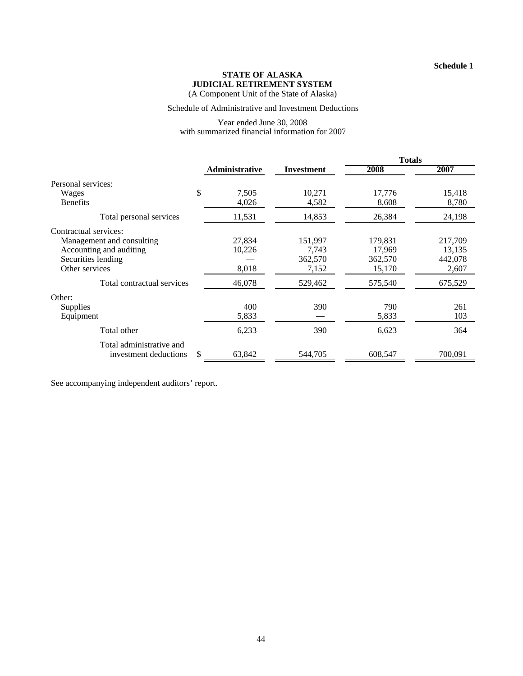(A Component Unit of the State of Alaska)

#### Schedule of Administrative and Investment Deductions

#### Year ended June 30, 2008 with summarized financial information for 2007

|                             |                       |                   | <b>Totals</b> |         |
|-----------------------------|-----------------------|-------------------|---------------|---------|
|                             | <b>Administrative</b> | <b>Investment</b> | 2008          | 2007    |
| Personal services:          |                       |                   |               |         |
| \$<br>Wages                 | 7,505                 | 10,271            | 17,776        | 15,418  |
| <b>Benefits</b>             | 4,026                 | 4,582             | 8,608         | 8,780   |
| Total personal services     | 11,531                | 14,853            | 26,384        | 24,198  |
| Contractual services:       |                       |                   |               |         |
| Management and consulting   | 27,834                | 151,997           | 179,831       | 217,709 |
| Accounting and auditing     | 10,226                | 7,743             | 17,969        | 13,135  |
| Securities lending          |                       | 362,570           | 362,570       | 442,078 |
| Other services              | 8,018                 | 7,152             | 15,170        | 2,607   |
| Total contractual services  | 46,078                | 529,462           | 575,540       | 675,529 |
| Other:                      |                       |                   |               |         |
| <b>Supplies</b>             | 400                   | 390               | 790           | 261     |
| Equipment                   | 5,833                 |                   | 5,833         | 103     |
| Total other                 | 6,233                 | 390               | 6,623         | 364     |
| Total administrative and    |                       |                   |               |         |
| \$<br>investment deductions | 63,842                | 544,705           | 608,547       | 700,091 |

See accompanying independent auditors' report.